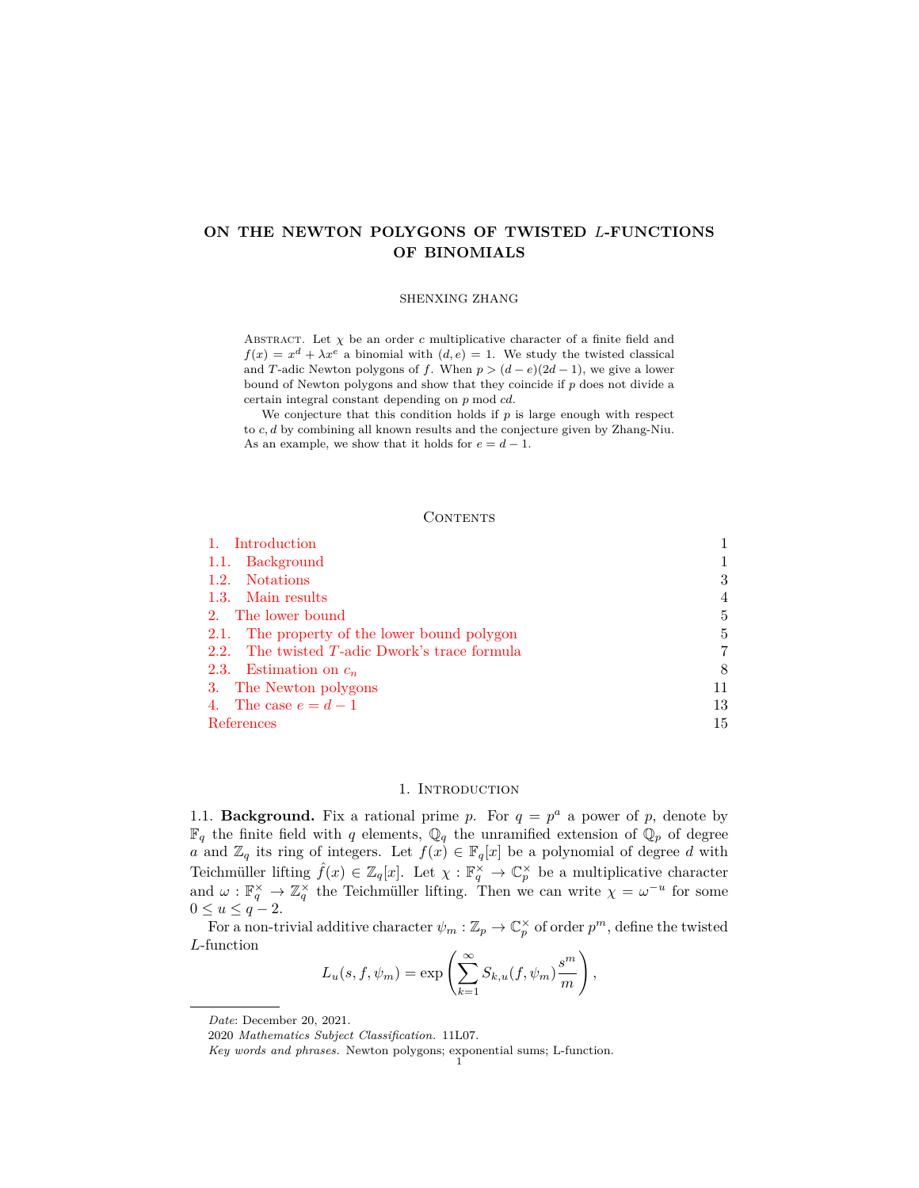# **ON THE NEWTON POLYGONS OF TWISTED** *L***-FUNCTIONS OF BINOMIALS**

#### SHENXING ZHANG

ABSTRACT. Let  $\chi$  be an order *c* multiplicative character of a finite field and  $f(x) = x<sup>d</sup> + \lambda x<sup>e</sup>$  a binomial with  $(d, e) = 1$ . We study the twisted classical and *T*-adic Newton polygons of *f*. When  $p > (d - e)(2d - 1)$ , we give a lower bound of Newton polygons and show that they coincide if *p* does not divide a certain integral constant depending on *p* mod *cd*.

We conjecture that this condition holds if *p* is large enough with respect to *c, d* by combining all known results and the conjecture given by Zhang-Niu. As an example, we show that it holds for  $e = d - 1$ .

## **CONTENTS**

| Introduction                                  |    |
|-----------------------------------------------|----|
| 1.1. Background                               |    |
| 1.2. Notations                                | 3  |
| 1.3. Main results                             | 4  |
| 2. The lower bound                            | 5  |
| 2.1. The property of the lower bound polygon  | 5  |
| 2.2. The twisted T-adic Dwork's trace formula | 7  |
| 2.3. Estimation on $c_n$                      | 8  |
| 3. The Newton polygons                        | 11 |
| 4. The case $e = d - 1$                       | 13 |
| References                                    | 15 |

## 1. Introduction

<span id="page-0-1"></span><span id="page-0-0"></span>1.1. **Background.** Fix a rational prime *p*. For  $q = p^a$  a power of *p*, denote by  $\mathbb{F}_q$  the finite field with *q* elements,  $\mathbb{Q}_q$  the unramified extension of  $\mathbb{Q}_p$  of degree *a* and  $\mathbb{Z}_q$  its ring of integers. Let  $f(x) \in \mathbb{F}_q[x]$  be a polynomial of degree *d* with Teichmüller lifting  $\hat{f}(x) \in \mathbb{Z}_q[x]$ . Let  $\chi : \mathbb{F}_q^{\times} \to \mathbb{C}_p^{\times}$  be a multiplicative character and  $\omega : \mathbb{F}_q^{\times} \to \mathbb{Z}_q^{\times}$  the Teichmüller lifting. Then we can write  $\chi = \omega^{-u}$  for some 0 ≤ *u* ≤ *q* − 2.

For a non-trivial additive character  $\psi_m : \mathbb{Z}_p \to \mathbb{C}_p^{\times}$  of order  $p^m$ , define the twisted *L*-function

$$
L_u(s, f, \psi_m) = \exp\left(\sum_{k=1}^{\infty} S_{k,u}(f, \psi_m) \frac{s^m}{m}\right),
$$

*Date*: December 20, 2021.

<sup>2020</sup> *Mathematics Subject Classification.* 11L07.

*Key words and phrases.* Newton polygons; exponential sums; L-function. 1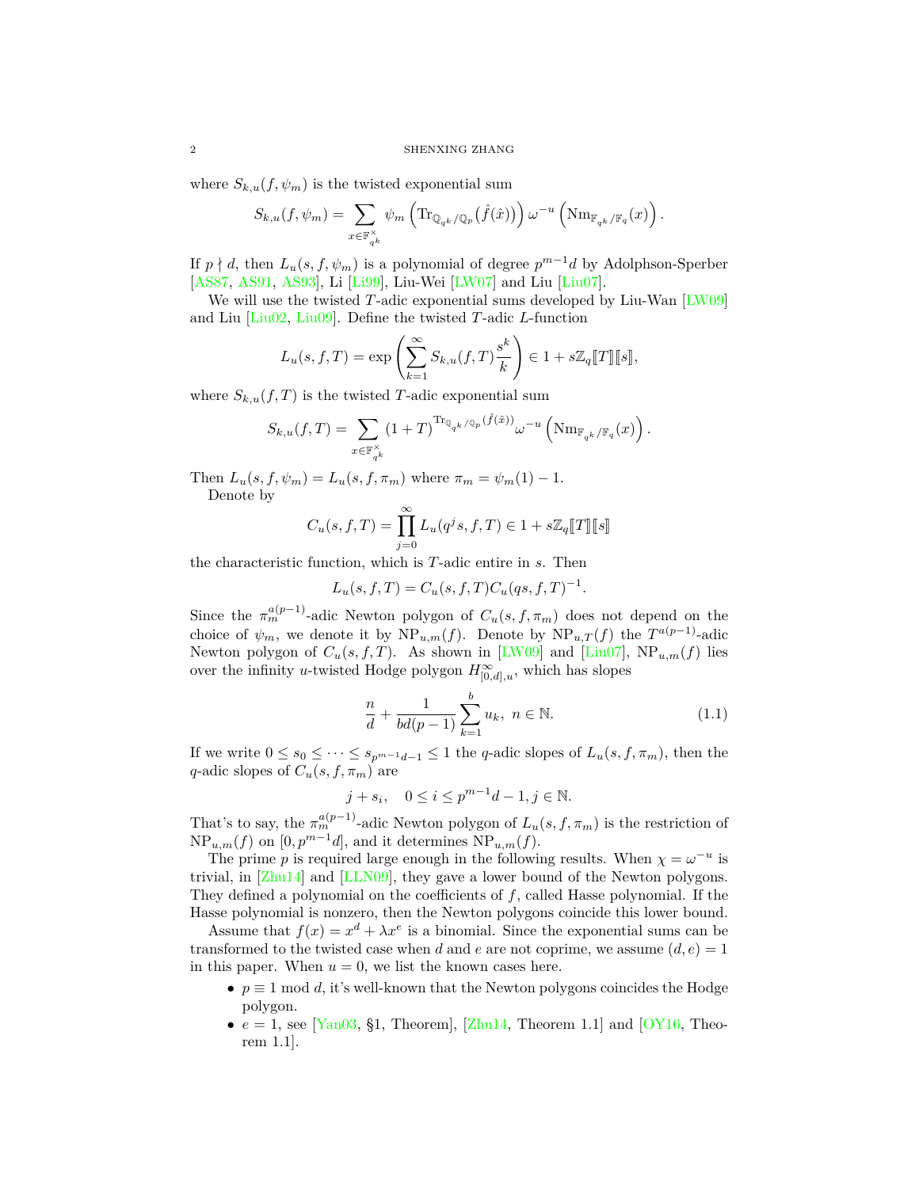where  $S_{k,u}(f, \psi_m)$  is the twisted exponential sum

$$
S_{k,u}(f,\psi_m) = \sum_{x \in \mathbb{F}_{q^k}^{\times}} \psi_m\left(\text{Tr}_{\mathbb{Q}_{q^k}/\mathbb{Q}_p}(\hat{f}(\hat{x}))\right) \omega^{-u}\left(\text{Nm}_{\mathbb{F}_{q^k}/\mathbb{F}_q}(x)\right).
$$

If  $p \nmid d$ , then  $L_u(s, f, \psi_m)$  is a polynomial of degree  $p^{m-1}d$  by Adolphson-Sperber [\[AS87](#page-14-1), [AS91](#page-14-2), [AS93\]](#page-14-3), Li [\[Li99](#page-14-4)], Liu-Wei [[LW07](#page-14-5)] and Liu [\[Liu07\]](#page-14-6).

We will use the twisted *T*-adic exponential sums developed by Liu-Wan [\[LW09\]](#page-14-7) and Liu [[Liu02](#page-14-8), [Liu09\]](#page-14-9). Define the twisted *T*-adic *L*-function

$$
L_u(s, f, T) = \exp\left(\sum_{k=1}^{\infty} S_{k,u}(f, T) \frac{s^k}{k}\right) \in 1 + s\mathbb{Z}_q[[T]][s]],
$$

where  $S_{k,u}(f,T)$  is the twisted *T*-adic exponential sum

$$
S_{k,u}(f,T) = \sum_{x \in \mathbb{F}_{q^k}^{\times}} (1+T)^{\text{Tr}_{\mathbb{Q}_{q^k}/\mathbb{Q}_p}(\hat{f}(\hat{x}))} \omega^{-u} \left( \text{Nm}_{\mathbb{F}_{q^k}/\mathbb{F}_q}(x) \right).
$$

Then  $L_u(s, f, \psi_m) = L_u(s, f, \pi_m)$  where  $\pi_m = \psi_m(1) - 1$ . Denote by

$$
C_u(s, f, T) = \prod_{j=0}^{\infty} L_u(q^j s, f, T) \in 1 + s\mathbb{Z}_q[\![T]\!][\![s]\!]
$$

the characteristic function, which is *T*-adic entire in *s*. Then

$$
L_u(s, f, T) = C_u(s, f, T) C_u(qs, f, T)^{-1}.
$$

Since the  $\pi_m^{a(p-1)}$ -adic Newton polygon of  $C_u(s, f, \pi_m)$  does not depend on the choice of  $\psi_m$ , we denote it by  $NP_{u,m}(f)$ . Denote by  $NP_{u,T}(f)$  the  $T^{a(p-1)}$ -adic Newton polygon of  $C_u(s, f, T)$ . As shown in [\[LW09\]](#page-14-7) and [[Liu07](#page-14-6)], NP<sub>u,m</sub>(f) lies over the infinity *u*-twisted Hodge polygon  $H^{\infty}_{[0,d],u}$ , which has slopes

<span id="page-1-0"></span>
$$
\frac{n}{d} + \frac{1}{bd(p-1)} \sum_{k=1}^{b} u_k, \ n \in \mathbb{N}.
$$
 (1.1)

If we write  $0 ≤ s_0 ≤ · · · ≤ s_{p^{m-1}d-1} ≤ 1$  the *q*-adic slopes of  $L_u(s, f, \pi_m)$ , then the *q*-adic slopes of  $C_u(s, f, \pi_m)$  are

$$
j + s_i
$$
,  $0 \le i \le p^{m-1}d - 1, j \in \mathbb{N}$ .

That's to say, the  $\pi_m^{a(p-1)}$ -adic Newton polygon of  $L_u(s, f, \pi_m)$  is the restriction of  $NP_{u,m}(f)$  on  $[0, p^{m-1}d]$ , and it determines  $NP_{u,m}(f)$ .

The prime *p* is required large enough in the following results. When  $\chi = \omega^{-u}$  is trivial, in [[Zhu14\]](#page-14-10) and [\[LLN09](#page-14-11)], they gave a lower bound of the Newton polygons. They defined a polynomial on the coefficients of *f*, called Hasse polynomial. If the Hasse polynomial is nonzero, then the Newton polygons coincide this lower bound.

Assume that  $f(x) = x^d + \lambda x^e$  is a binomial. Since the exponential sums can be transformed to the twisted case when *d* and *e* are not coprime, we assume  $(d, e) = 1$ in this paper. When  $u = 0$ , we list the known cases here.

- *• p ≡* 1 mod *d*, it's well-known that the Newton polygons coincides the Hodge polygon.
- $e = 1$ , see [[Yan03,](#page-14-12) §1, Theorem], [\[Zhu14](#page-14-10), Theorem 1.1] and [[OY16](#page-14-13), Theorem 1.1].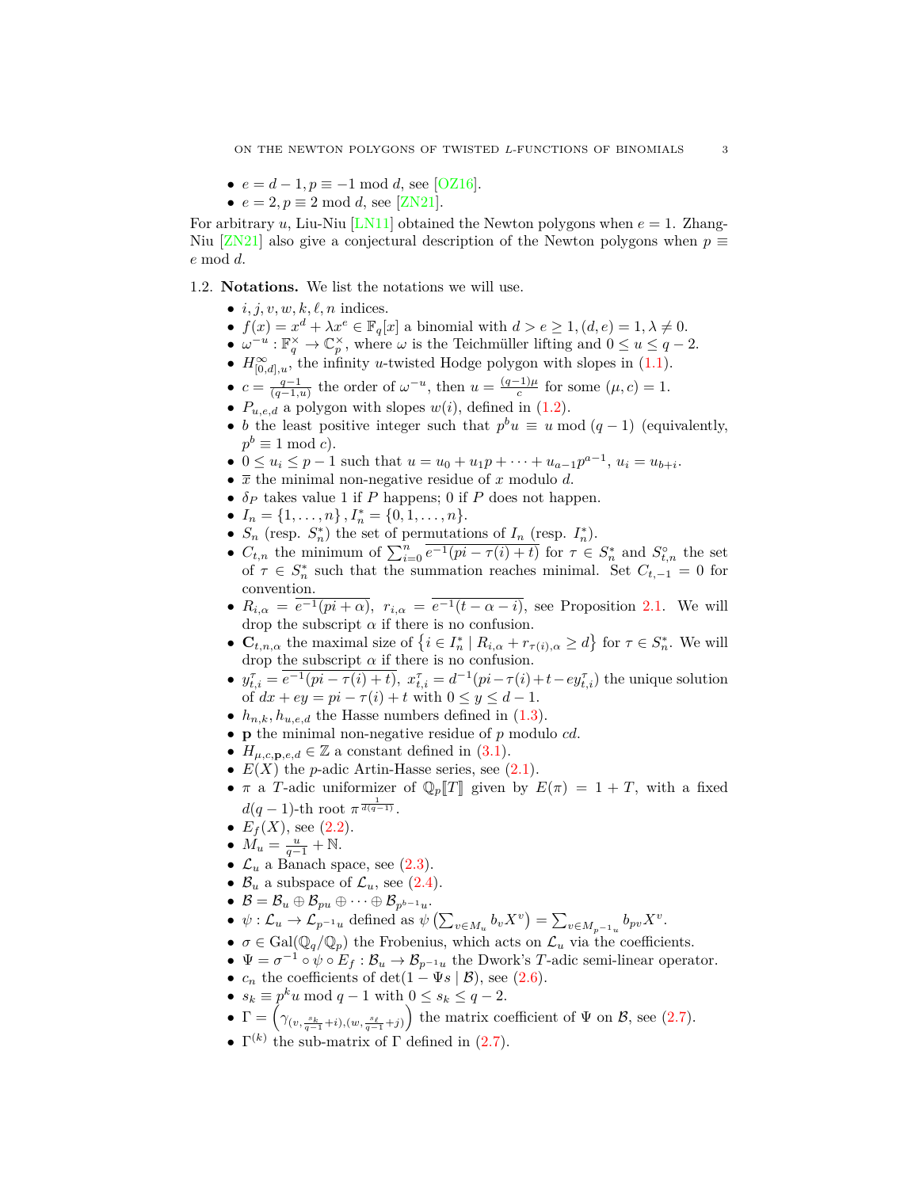- $e = d 1, p \equiv -1 \mod d$ , see [[OZ16\]](#page-14-14).
- $e = 2, p \equiv 2 \mod d$ , see [[ZN21](#page-14-15)].

For arbitrary *u*, Liu-Niu [\[LN11\]](#page-14-16) obtained the Newton polygons when  $e = 1$ . Zhang-Niu [\[ZN21\]](#page-14-15) also give a conjectural description of the Newton polygons when  $p \equiv$ *e* mod *d*.

<span id="page-2-0"></span>1.2. **Notations.** We list the notations we will use.

- $\bullet$  *i, j, v, w, k, l, n* indices.
- $f(x) = x^d + \lambda x^e \in \mathbb{F}_q[x]$  a binomial with  $d > e \ge 1$ ,  $(d, e) = 1, \lambda \ne 0$ .
- $\omega^{-u} : \mathbb{F}_q^{\times} \to \mathbb{C}_p^{\times}$ , where  $\omega$  is the Teichmüller lifting and  $0 \le u \le q-2$ . •  $H^{\infty}_{[0,d],u}$ , the infinity *u*-twisted Hodge polygon with slopes in [\(1.1](#page-1-0)).
- $c = \frac{q-1}{(q-1,u)}$  the order of  $\omega^{-u}$ , then  $u = \frac{(q-1)\mu}{c}$  for some  $(\mu, c) = 1$ .
- $P_{u,e,d}$  a polygon with slopes  $w(i)$ , defined in  $(1.2)$ .
- *b* the least positive integer such that  $p^b u \equiv u \mod (q-1)$  (equivalently,  $p^b \equiv 1 \mod c$ .
- $0 \le u_i \le p-1$  such that  $u = u_0 + u_1 p + \dots + u_{a-1} p^{a-1}, u_i = u_{b+i}$ .
- *• x* the minimal non-negative residue of *x* modulo *d*.
- $\delta_P$  takes value 1 if *P* happens; 0 if *P* does not happen.
- $I_n = \{1, \ldots, n\}$ ,  $I_n^* = \{0, 1, \ldots, n\}$ .
- $S_n$  (resp.  $S_n^*$ ) the set of permutations of  $I_n$  (resp.  $I_n^*$ ).
- $C_{t,n}$  the minimum of  $\sum_{i=0}^{n} e^{-1}(pi \tau(i) + t)$  for  $\tau \in S_n^*$  and  $S_{t,n}^{\circ}$  the set of  $\tau \in S_n^*$  such that the summation reaches minimal. Set  $C_{t,-1} = 0$  for convention.
- $R_{i,\alpha} = e^{-1}(pi + \alpha)$ ,  $r_{i,\alpha} = e^{-1}(t \alpha i)$ , see Proposition [2.1](#page-4-2). We will drop the subscript  $\alpha$  if there is no confusion.
- $\mathbf{C}_{t,n,\alpha}$  the maximal size of  $\{i \in I_n^* \mid R_{i,\alpha} + r_{\tau(i),\alpha} \geq d\}$  for  $\tau \in S_n^*$ . We will drop the subscript  $\alpha$  if there is no confusion.
- $y_{t,i}^{\tau} = e^{-1}(pi \tau(i) + t), x_{t,i}^{\tau} = d^{-1}(pi \tau(i) + t ey_{t,i}^{\tau})$  the unique solution of  $dx + ey = pi - \tau(i) + t$  with  $0 \le y \le d - 1$ .
- $h_{n,k}, h_{u,e,d}$  the Hasse numbers defined in  $(1.3)$  $(1.3)$ .
- *•* **p** the minimal non-negative residue of *p* modulo *cd*.
- $H_{\mu,c,\mathbf{p},e,d} \in \mathbb{Z}$  a constant defined in [\(3.1](#page-11-0)).
- $E(X)$  the *p*-adic Artin-Hasse series, see  $(2.1)$ .
- *π* a *T*-adic uniformizer of  $\mathbb{Q}_p[T]$  given by  $E(\pi) = 1 + T$ , with a fixed  $d(q-1)$ -th root  $\pi^{\frac{1}{d(q-1)}}$ .
- $E_f(X)$ , see ([2.2](#page-6-2)).
- $M_u = \frac{u}{q-1} + N$ .
- $\mathcal{L}_u$  a Banach space, see  $(2.3)$  $(2.3)$ .
- $\mathcal{B}_u$  a subspace of  $\mathcal{L}_u$ , see ([2.4\)](#page-6-4).
- *•*  $\mathcal{B} = \mathcal{B}_u \oplus \mathcal{B}_{pu} \oplus \cdots \oplus \mathcal{B}_{p^{b-1}u}$ .
- $\psi: \mathcal{L}_u \to \mathcal{L}_{p^{-1}u}$  defined as  $\psi\left(\sum_{v \in M_u} b_v X^v\right) = \sum_{v \in M_{p^{-1}u}} b_{pv} X^v$ .
- $\sigma \in \text{Gal}(\mathbb{Q}_q/\mathbb{Q}_p)$  the Frobenius, which acts on  $\mathcal{L}_u$  via the coefficients.
- *•*  $\Psi = \sigma^{-1} \circ \psi \circ E_f : \mathcal{B}_u \to \mathcal{B}_{p^{-1}u}$  the Dwork's *T*-adic semi-linear operator.
- $c_n$  the coefficients of det(1 *−* Ψ*s* | B), see ([2.6](#page-6-5)).
- $s_k \equiv p^k u \mod q 1$  with  $0 \le s_k \le q 2$ .
- $\Gamma = \left( \gamma_{(v, \frac{s_k}{q-1} + i), (w, \frac{s_\ell}{q-1} + j)} \right)$ the matrix coefficient of  $\Psi$  on  $\mathcal{B}$ , see ([2.7](#page-7-1)).
- $\Gamma^{(k)}$  the sub-matrix of  $\Gamma$  defined in ([2.7](#page-7-1)).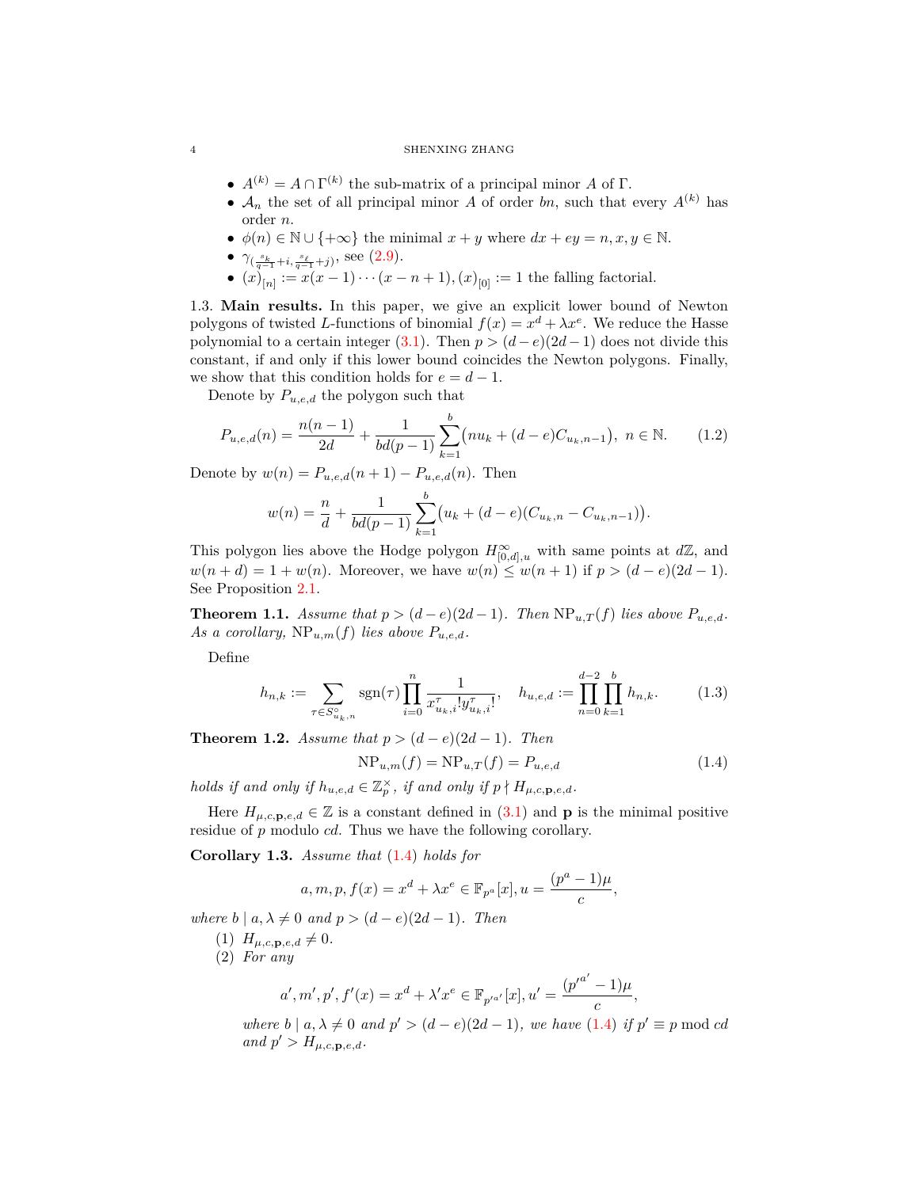#### 4 SHENXING ZHANG

- $\bullet$   $A^{(k)} = A \cap \Gamma^{(k)}$  the sub-matrix of a principal minor *A* of Γ.
- $A_n$  the set of all principal minor *A* of order *bn*, such that every  $A^{(k)}$  has order *n*.
- *• ϕ*(*n*) *∈* N *∪ {*+*∞}* the minimal *x* + *y* where *dx* + *ey* = *n, x, y ∈* N.
- *• γ*( *sk <sup>q</sup>−*<sup>1</sup> <sup>+</sup>*i, sℓ <sup>q</sup>−*<sup>1</sup> <sup>+</sup>*j*) , see ([2.9](#page-7-2)).
- *•*  $(x)_{[n]} := x(x-1) \cdots (x-n+1), (x)_{[0]} := 1$  the falling factorial.

<span id="page-3-0"></span>1.3. **Main results.** In this paper, we give an explicit lower bound of Newton polygons of twisted *L*-functions of binomial  $f(x) = x^d + \lambda x^e$ . We reduce the Hasse polynomial to a certain integer [\(3.1\)](#page-11-0). Then  $p > (d - e)(2d - 1)$  does not divide this constant, if and only if this lower bound coincides the Newton polygons. Finally, we show that this condition holds for  $e = d - 1$ .

Denote by *Pu,e,d* the polygon such that

<span id="page-3-1"></span>
$$
P_{u,e,d}(n) = \frac{n(n-1)}{2d} + \frac{1}{bd(p-1)} \sum_{k=1}^{b} (nu_k + (d-e)C_{u_k,n-1}), \ n \in \mathbb{N}.
$$
 (1.2)

Denote by  $w(n) = P_{u,e,d}(n+1) - P_{u,e,d}(n)$ . Then

$$
w(n) = \frac{n}{d} + \frac{1}{bd(p-1)} \sum_{k=1}^{b} (u_k + (d-e)(C_{u_k,n} - C_{u_k,n-1})).
$$

This polygon lies above the Hodge polygon  $H^{\infty}_{[0,d],u}$  with same points at  $d\mathbb{Z}$ , and *w*(*n* + *d*) = 1 + *w*(*n*). Moreover, we have *w*(*n*) ≤ *w*(*n* + 1) if *p* > (*d* − *e*)(2*d* − 1). See Proposition [2.1.](#page-4-2)

<span id="page-3-5"></span>**Theorem 1.1.** *Assume that*  $p > (d - e)(2d - 1)$ *. Then*  $NP_{u,T}(f)$  *lies above*  $P_{u,e,d}$ *.* As a corollary,  $NP_{u,m}(f)$  lies above  $P_{u,e,d}$ .

Define

<span id="page-3-2"></span>
$$
h_{n,k} := \sum_{\tau \in S_{u_k,n}^{\circ}} \text{sgn}(\tau) \prod_{i=0}^{n} \frac{1}{x_{u_k,i}^{\tau}! y_{u_k,i}^{\tau}!}, \quad h_{u,e,d} := \prod_{n=0}^{d-2} \prod_{k=1}^{b} h_{n,k}.
$$
 (1.3)

<span id="page-3-6"></span>**Theorem 1.2.** *Assume that*  $p > (d - e)(2d - 1)$ *. Then* 

<span id="page-3-3"></span>
$$
NP_{u,m}(f) = NP_{u,T}(f) = P_{u,e,d}
$$
\n(1.4)

*holds if and only if*  $h_{u,e,d} \in \mathbb{Z}_p^{\times}$ *, if and only if*  $p \nmid H_{\mu,c,\mathbf{p},e,d}$ *.* 

Here  $H_{\mu,c,\mathbf{p},e,d} \in \mathbb{Z}$  is a constant defined in  $(3.1)$  and **p** is the minimal positive residue of *p* modulo *cd*. Thus we have the following corollary.

<span id="page-3-4"></span>**Corollary 1.3.** *Assume that* ([1.4\)](#page-3-3) *holds for*

$$
a, m, p, f(x) = x^d + \lambda x^e \in \mathbb{F}_{p^a}[x], u = \frac{(p^a - 1)\mu}{c},
$$

*where*  $b \mid a, \lambda \neq 0$  *and*  $p > (d - e)(2d - 1)$ *. Then* 

(1)  $H_{\mu,c,\mathbf{p},e,d} \neq 0.$ 

(2) *For any*

$$
a', m', p', f'(x) = x^d + \lambda' x^e \in \mathbb{F}_{p'^{a'}}[x], u' = \frac{(p'^{a'} - 1)\mu}{c},
$$

where  $b \mid a, \lambda \neq 0$  and  $p' > (d - e)(2d - 1)$ , we have  $(1.4)$  $(1.4)$  $(1.4)$  if  $p' \equiv p \mod cd$  $and p' > H_{\mu,c,\mathbf{p},e,d}$ .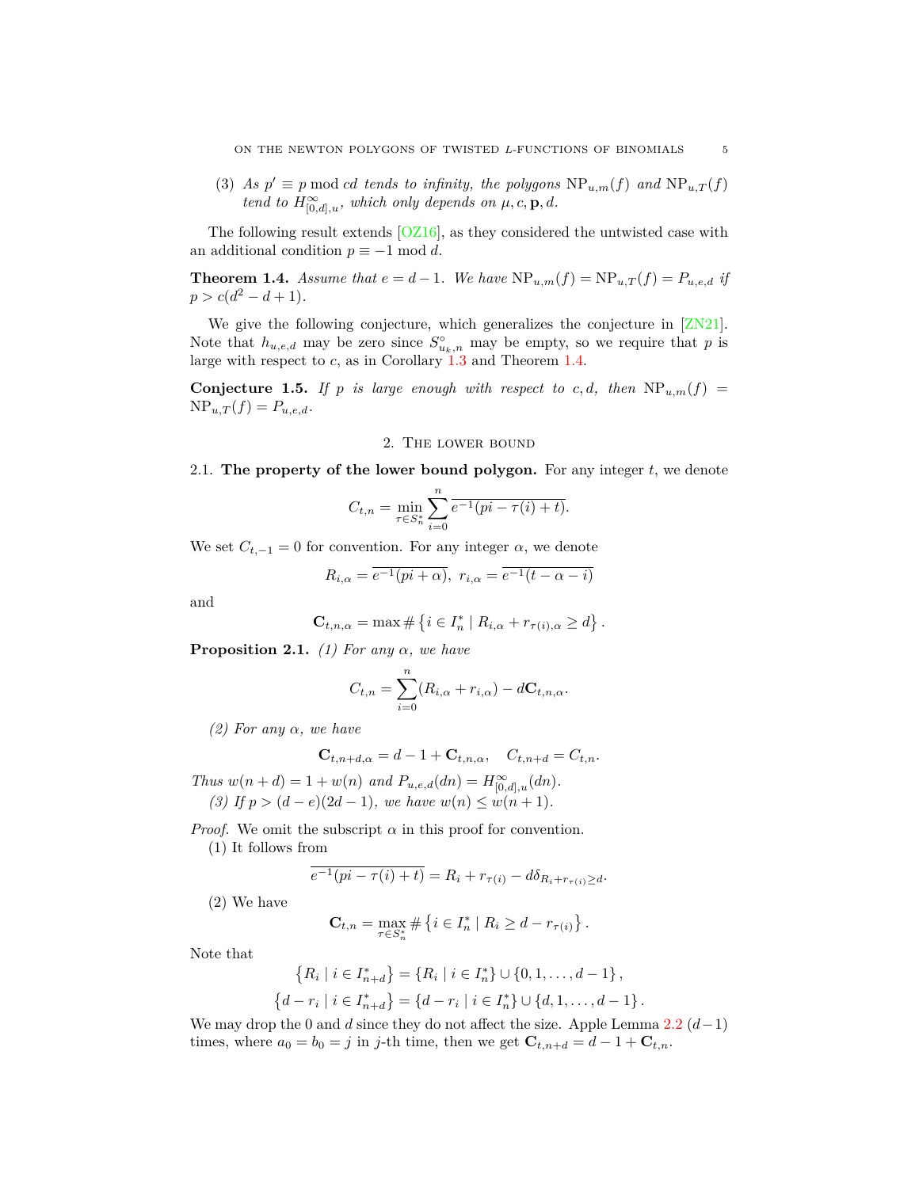(3) As  $p' \equiv p \mod cd$  *tends to infinity, the polygons*  $NP_{u,m}(f)$  *and*  $NP_{u,T}(f)$ *tend to*  $H^{\infty}_{[0,d],u}$ *, which only depends on*  $\mu$ *, c*, **p***, d.* 

The following result extends  $[OZ16]$ , as they considered the untwisted case with an additional condition  $p \equiv -1 \mod d$ .

<span id="page-4-3"></span>**Theorem 1.4.** *Assume that*  $e = d - 1$ *. We have*  $NP_{u,m}(f) = NP_{u,T}(f) = P_{u,e,d}$  *if*  $p > c(d^2 - d + 1)$ .

We give the following conjecture, which generalizes the conjecture in [\[ZN21\]](#page-14-15). Note that  $h_{u,e,d}$  may be zero since  $S^{\circ}_{u_k,n}$  may be empty, so we require that p is large with respect to *c*, as in Corollary [1.3](#page-3-4) and Theorem [1.4.](#page-4-3)

**Conjecture 1.5.** *If*  $p$  *is large enough with respect to c, d, then*  $NP_{u,m}(f)$  =  $NP_{u,T}(f) = P_{u,e,d}.$ 

## 2. The lower bound

<span id="page-4-1"></span><span id="page-4-0"></span>2.1. **The property of the lower bound polygon.** For any integer *t*, we denote

$$
C_{t,n} = \min_{\tau \in S_n^*} \sum_{i=0}^n \overline{e^{-1}(pi - \tau(i) + t)}.
$$

We set  $C_{t,-1} = 0$  for convention. For any integer  $\alpha$ , we denote

$$
R_{i,\alpha} = \overline{e^{-1}(pi+\alpha)}, \ r_{i,\alpha} = \overline{e^{-1}(t-\alpha-i)}
$$

and

$$
\mathbf{C}_{t,n,\alpha} = \max \# \left\{ i \in I_n^* \mid R_{i,\alpha} + r_{\tau(i),\alpha} \geq d \right\}.
$$

<span id="page-4-2"></span>**Proposition 2.1.** (1) For any  $\alpha$ , we have

$$
C_{t,n} = \sum_{i=0}^{n} (R_{i,\alpha} + r_{i,\alpha}) - d\mathbf{C}_{t,n,\alpha}.
$$

*(2) For any α, we have*

$$
\mathbf{C}_{t,n+d,\alpha} = d-1 + \mathbf{C}_{t,n,\alpha}, \quad C_{t,n+d} = C_{t,n}.
$$

*Thus*  $w(n+d) = 1 + w(n)$  *and*  $P_{u,e,d}(dn) = H^{\infty}_{[0,d],u}(dn)$ . *(3) If*  $p > (d - e)(2d - 1)$ *, we have*  $w(n) ≤ w(n + 1)$ *.* 

*Proof.* We omit the subscript  $\alpha$  in this proof for convention.

(1) It follows from

$$
\overline{e^{-1}(pi-\tau(i)+t)}=R_i+r_{\tau(i)}-d\delta_{R_i+r_{\tau(i)}\geq d}.
$$

(2) We have

$$
\mathbf{C}_{t,n} = \max_{\tau \in S_n^*} \# \left\{ i \in I_n^* \mid R_i \geq d - r_{\tau(i)} \right\}.
$$

Note that

$$
\{R_i \mid i \in I_{n+d}^*\} = \{R_i \mid i \in I_n^*\} \cup \{0, 1, \dots, d-1\},
$$
  

$$
\{d - r_i \mid i \in I_{n+d}^*\} = \{d - r_i \mid i \in I_n^*\} \cup \{d, 1, \dots, d-1\}.
$$

We may drop the 0 and *d* since they do not affect the size. Apple Lemma [2.2](#page-5-0) (*d−*1) times, where  $a_0 = b_0 = j$  in *j*-th time, then we get  $\mathbf{C}_{t,n+d} = d - 1 + \mathbf{C}_{t,n}$ .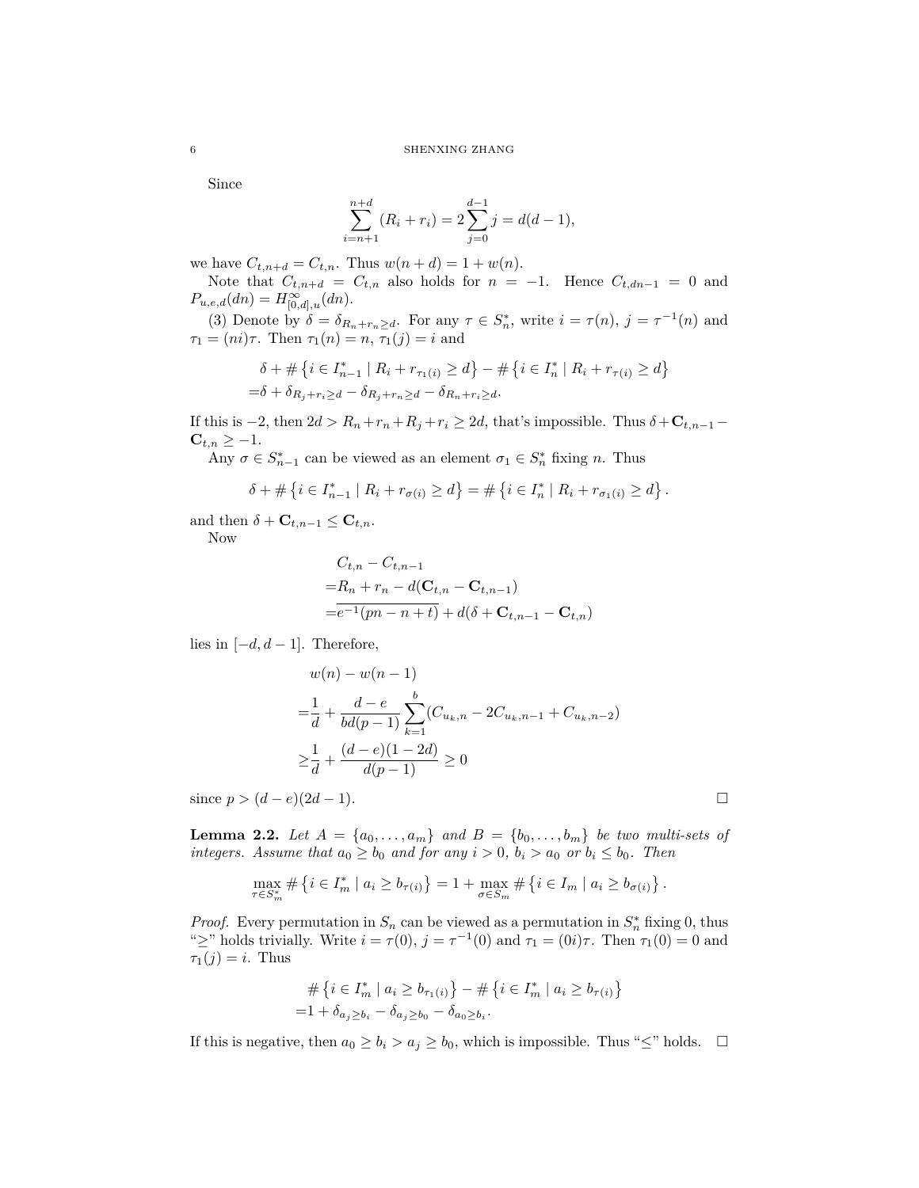Since

$$
\sum_{i=n+1}^{n+d} (R_i + r_i) = 2\sum_{j=0}^{d-1} j = d(d-1),
$$

we have  $C_{t,n+d} = C_{t,n}$ . Thus  $w(n+d) = 1 + w(n)$ .

Note that  $C_{t,n+d} = C_{t,n}$  also holds for  $n = -1$ . Hence  $C_{t,dn-1} = 0$  and  $P_{u,e,d}(dn) = H^{\infty}_{[0,d],u}(dn).$ 

(3) Denote by  $\delta = \delta_{R_n+r_n \geq d}$ . For any  $\tau \in S_n^*$ , write  $i = \tau(n)$ ,  $j = \tau^{-1}(n)$  and *τ*<sub>1</sub> = (*ni*)*τ*. Then *τ*<sub>1</sub>(*n*) = *n*, *τ*<sub>1</sub>(*j*) = *i* and

$$
\delta + \# \{ i \in I_{n-1}^* \mid R_i + r_{\tau_1(i)} \ge d \} - \# \{ i \in I_n^* \mid R_i + r_{\tau(i)} \ge d \} = \delta + \delta_{R_j + r_i \ge d} - \delta_{R_j + r_n \ge d} - \delta_{R_n + r_i \ge d}.
$$

If this is  $-2$ , then  $2d > R_n + r_n + R_j + r_i \geq 2d$ , that's impossible. Thus  $\delta + \mathbf{C}_{t,n-1} - \mathbf{C}_{t,n-1}$  $C_{t,n} \geq -1.$ 

Any  $\sigma \in S_{n-1}^*$  can be viewed as an element  $\sigma_1 \in S_n^*$  fixing *n*. Thus

$$
\delta + \# \{ i \in I_{n-1}^* \mid R_i + r_{\sigma(i)} \ge d \} = \# \{ i \in I_n^* \mid R_i + r_{\sigma_1(i)} \ge d \}
$$

*.*

and then  $\delta$  + **C**<sub>*t*,n-1</sub>  $\leq$  **C**<sub>*t*,n</sub>.

Now

$$
C_{t,n} - C_{t,n-1}
$$
  
= R<sub>n</sub> + r<sub>n</sub> - d(**C**<sub>t,n</sub> - **C**<sub>t,n-1</sub>)  
= e<sup>-1</sup>(pn - n + t) + d( $\delta$  + **C**<sub>t,n-1</sub> - **C**<sub>t,n</sub>)

lies in  $[-d, d-1]$ . Therefore,

$$
w(n) - w(n-1)
$$
  
=  $\frac{1}{d} + \frac{d-e}{bd(p-1)} \sum_{k=1}^{b} (C_{u_k,n} - 2C_{u_k,n-1} + C_{u_k,n-2})$   
 $\geq \frac{1}{d} + \frac{(d-e)(1-2d)}{d(p-1)} \geq 0$ 

since  $p > (d - e)(2d - 1)$ .

<span id="page-5-0"></span>**Lemma 2.2.** *Let*  $A = \{a_0, \ldots, a_m\}$  *and*  $B = \{b_0, \ldots, b_m\}$  *be two multi-sets of integers.* Assume that  $a_0 \geq b_0$  and for any  $i > 0$ ,  $b_i > a_0$  or  $b_i \leq b_0$ . Then

$$
\max_{\tau \in S_m^*} \# \left\{ i \in I_m^* \mid a_i \ge b_{\tau(i)} \right\} = 1 + \max_{\sigma \in S_m} \# \left\{ i \in I_m \mid a_i \ge b_{\sigma(i)} \right\}.
$$

*Proof.* Every permutation in  $S_n$  can be viewed as a permutation in  $S_n^*$  fixing 0, thus " $\geq$ " holds trivially. Write  $i = \tau(0)$ ,  $j = \tau^{-1}(0)$  and  $\tau_1 = (0i)\tau$ . Then  $\tau_1(0) = 0$  and  $\tau_1(j) = i$ . Thus

$$
\begin{aligned} \# \left\{ i \in I_m^* \mid a_i \ge b_{\tau_1(i)} \right\} - \# \left\{ i \in I_m^* \mid a_i \ge b_{\tau(i)} \right\} \\ = & 1 + \delta_{a_j \ge b_i} - \delta_{a_j \ge b_0} - \delta_{a_0 \ge b_i} . \end{aligned}
$$

If this is negative, then  $a_0 ≥ b_i > a_j ≥ b_0$ , which is impossible. Thus "≤" holds.  $□$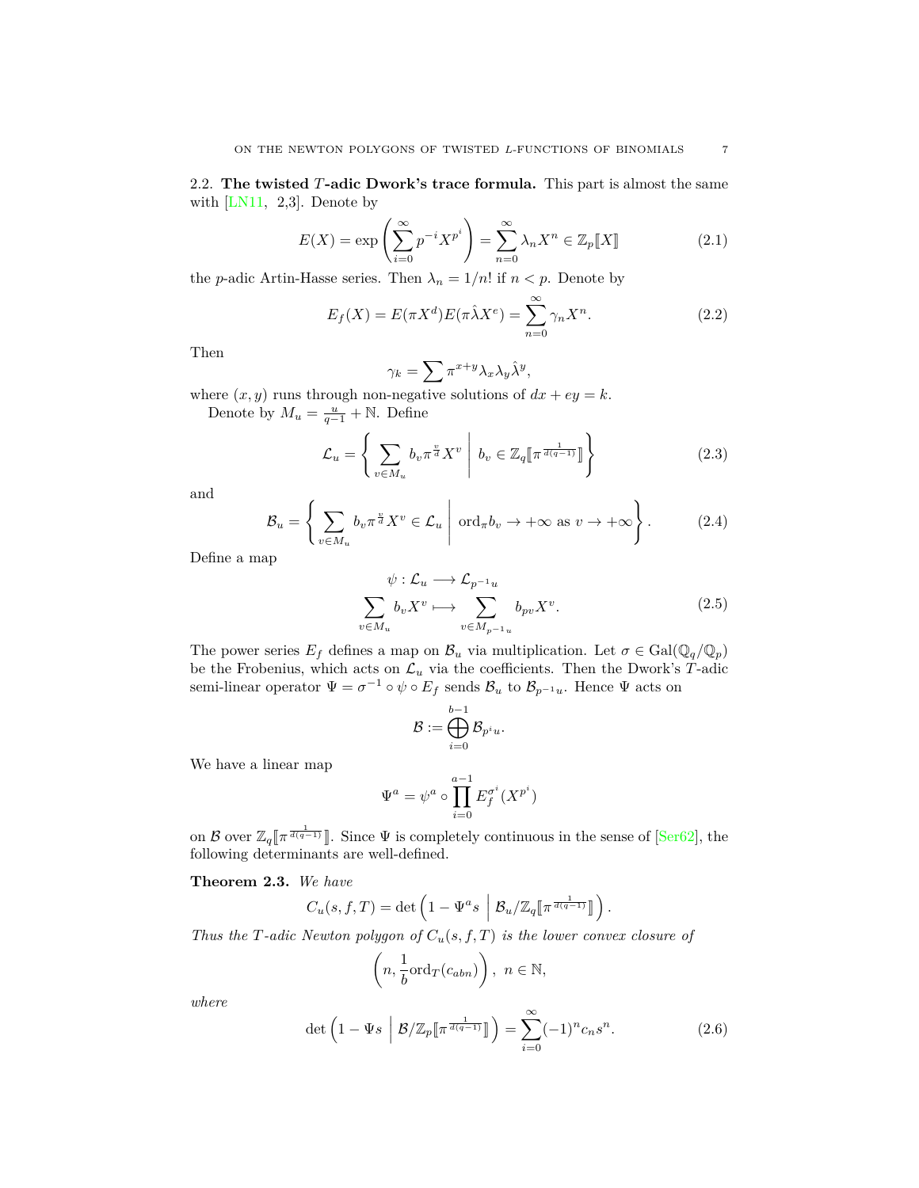<span id="page-6-0"></span>2.2. **The twisted** *T***-adic Dwork's trace formula.** This part is almost the same with  $[LN11, 2,3]$ . Denote by

<span id="page-6-1"></span>
$$
E(X) = \exp\left(\sum_{i=0}^{\infty} p^{-i} X^{p^i}\right) = \sum_{n=0}^{\infty} \lambda_n X^n \in \mathbb{Z}_p[\![X]\!]
$$
 (2.1)

the *p*-adic Artin-Hasse series. Then  $\lambda_n = 1/n!$  if  $n < p$ . Denote by

<span id="page-6-2"></span>
$$
E_f(X) = E(\pi X^d)E(\pi \hat{\lambda} X^e) = \sum_{n=0}^{\infty} \gamma_n X^n.
$$
 (2.2)

Then

$$
\gamma_k = \sum_{y} \pi^{x+y} \lambda_x \lambda_y \hat{\lambda}^y,
$$

where  $(x, y)$  runs through non-negative solutions of  $dx + ey = k$ .

Denote by  $M_u = \frac{u}{q-1} + \mathbb{N}$ . Define

<span id="page-6-3"></span>
$$
\mathcal{L}_u = \left\{ \sum_{v \in M_u} b_v \pi^{\frac{v}{d}} X^v \middle| b_v \in \mathbb{Z}_q \left[ \pi^{\frac{1}{d(q-1)}} \right] \right\}
$$
\n(2.3)

and

<span id="page-6-4"></span>
$$
\mathcal{B}_u = \left\{ \sum_{v \in M_u} b_v \pi^{\frac{v}{d}} X^v \in \mathcal{L}_u \; \middle| \; \text{ord}_{\pi} b_v \to +\infty \text{ as } v \to +\infty \right\}.
$$
 (2.4)

Define a map

$$
\psi: \mathcal{L}_u \longrightarrow \mathcal{L}_{p^{-1}u}
$$
\n
$$
\sum_{v \in M_u} b_v X^v \longmapsto \sum_{v \in M_{p^{-1}u}} b_{pv} X^v.
$$
\n(2.5)

The power series  $E_f$  defines a map on  $\mathcal{B}_u$  via multiplication. Let  $\sigma \in \text{Gal}(\mathbb{Q}_q/\mathbb{Q}_p)$ be the Frobenius, which acts on  $\mathcal{L}_u$  via the coefficients. Then the Dwork's  $T$ -adic semi-linear operator  $\Psi = \sigma^{-1} \circ \psi \circ E_f$  sends  $\mathcal{B}_u$  to  $\mathcal{B}_{p^{-1}u}$ . Hence  $\Psi$  acts on

$$
\mathcal{B}:=\bigoplus_{i=0}^{b-1}\mathcal{B}_{p^iu}.
$$

We have a linear map

$$
\Psi^a = \psi^a \circ \prod_{i=0}^{a-1} E_f^{\sigma^i}(X^{p^i})
$$

on *B* over  $\mathbb{Z}_q[\pi^{\frac{1}{d(q-1)}}]$ . Since  $\Psi$  is completely continuous in the sense of [\[Ser62\]](#page-14-17), the following determinants are well-defined.

<span id="page-6-6"></span>**Theorem 2.3.** *We have*

$$
C_u(s, f, T) = \det \left( 1 - \Psi^a s \middle| \mathcal{B}_u / \mathbb{Z}_q \llbracket \pi^{\frac{1}{d(q-1)}} \rrbracket \right).
$$

*Thus the T-adic Newton polygon of Cu*(*s, f, T*) *is the lower convex closure of*

$$
\left(n, \frac{1}{b} \text{ord}_T(c_{abn})\right), \ n \in \mathbb{N},
$$

*where*

<span id="page-6-5"></span>
$$
\det\left(1 - \Psi s \middle| \mathcal{B}/\mathbb{Z}_p[\![\pi^{\frac{1}{d(q-1)}}]\!]\right) = \sum_{i=0}^{\infty} (-1)^n c_n s^n. \tag{2.6}
$$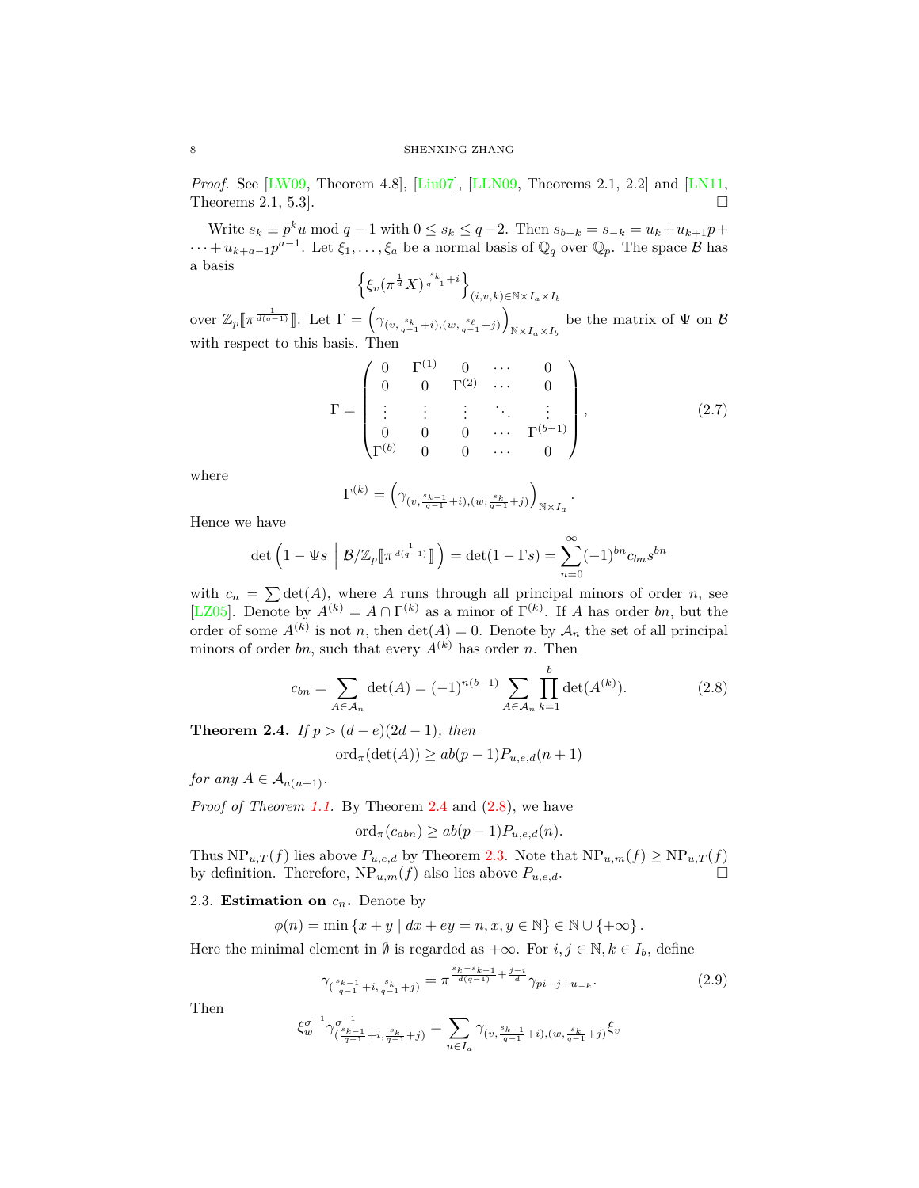*Proof.* See [[LW09](#page-14-7), Theorem 4.8], [\[Liu07\]](#page-14-6), [[LLN09,](#page-14-11) Theorems 2.1, 2.2] and [[LN11,](#page-14-16) Theorems 2.1, 5.3].  $\Box$ 

Write  $s_k \equiv p^k u \mod q - 1$  with  $0 \le s_k \le q - 2$ . Then  $s_{b-k} = s_{-k} = u_k + u_{k+1}p +$  $\cdots + u_{k+a-1}p^{a-1}$ . Let  $\xi_1, \ldots, \xi_a$  be a normal basis of  $\mathbb{Q}_q$  over  $\mathbb{Q}_p$ . The space *B* has a basis

$$
\left\{ \xi_v \left( \pi^{\frac{1}{d}} X \right)^{\frac{s_k}{q-1} + i} \right\}_{(i,v,k) \in \mathbb{N} \times I_a \times I_b}
$$

over  $\mathbb{Z}_p[\![\pi^{\frac{1}{d(q-1)}}]\!]$ . Let  $\Gamma = \left(\gamma_{(v,\frac{s_k}{q-1}+i),(w,\frac{s_\ell}{q-1}+j)}\right)$  $\setminus$  $N \times I_a \times I_b$ be the matrix of Ψ on *B* with respect to this basis. Then

<span id="page-7-1"></span>
$$
\Gamma = \begin{pmatrix}\n0 & \Gamma^{(1)} & 0 & \cdots & 0 \\
0 & 0 & \Gamma^{(2)} & \cdots & 0 \\
\vdots & \vdots & \vdots & \ddots & \vdots \\
0 & 0 & 0 & \cdots & \Gamma^{(b-1)} \\
\Gamma^{(b)} & 0 & 0 & \cdots & 0\n\end{pmatrix},
$$
\n(2.7)

*.*

where

$$
\Gamma^{(k)} = \left(\gamma_{(v,\frac{s_{k-1}}{q-1}+i),(w,\frac{s_k}{q-1}+j)}\right)_{\mathbb{N}\times I_a}
$$

Hence we have

$$
\det\left(1 - \Psi s \middle| \mathcal{B}/\mathbb{Z}_p[\![\pi^{\frac{1}{d(q-1)}}]\!]\right) = \det(1 - \Gamma s) = \sum_{n=0}^{\infty} (-1)^{bn} c_{bn} s^{bn}
$$

with  $c_n = \sum \det(A)$ , where *A* runs through all principal minors of order *n*, see [\[LZ05\]](#page-14-18). Denote by  $A^{(k)} = A \cap \Gamma^{(k)}$  as a minor of  $\Gamma^{(k)}$ . If *A* has order *bn*, but the order of some  $A^{(k)}$  is not *n*, then  $\det(A) = 0$ . Denote by  $A_n$  the set of all principal minors of order *bn*, such that every  $A^{(k)}$  has order *n*. Then

<span id="page-7-4"></span>
$$
c_{bn} = \sum_{A \in \mathcal{A}_n} \det(A) = (-1)^{n(b-1)} \sum_{A \in \mathcal{A}_n} \prod_{k=1}^b \det(A^{(k)}).
$$
 (2.8)

<span id="page-7-3"></span>**Theorem 2.4.** *If*  $p > (d - e)(2d - 1)$ *, then* 

$$
\mathrm{ord}_{\pi}(\det(A)) \ge ab(p-1)P_{u,e,d}(n+1)
$$

*for any*  $A \in \mathcal{A}_{a(n+1)}$ .

*Proof of Theorem [1.1.](#page-3-5)* By Theorem [2.4](#page-7-3) and  $(2.8)$  $(2.8)$ , we have

$$
\mathrm{ord}_{\pi}(c_{abn}) \ge ab(p-1)P_{u,e,d}(n).
$$

Thus  $NP_{u,T}(f)$  lies above  $P_{u,e,d}$  by Theorem [2.3](#page-6-6). Note that  $NP_{u,m}(f) \ge NP_{u,T}(f)$ by definition. Therefore,  $NP_{u,m}(f)$  also lies above  $P_{u,e,d}$ .

## <span id="page-7-0"></span>2.3. **Estimation on**  $c_n$ . Denote by

 $\phi(n) = \min \{x + y \mid dx + ey = n, x, y \in \mathbb{N}\} \in \mathbb{N} \cup \{+\infty\}.$ 

Here the minimal element in  $\emptyset$  is regarded as  $+\infty$ . For  $i, j \in \mathbb{N}, k \in I_b$ , define

<span id="page-7-2"></span>
$$
\gamma_{\left(\frac{s_{k-1}}{q-1}+i,\frac{s_k}{q-1}+j\right)} = \pi^{\frac{s_k-s_{k-1}}{d(q-1)} + \frac{j-i}{d}} \gamma_{pi-j+u_{-k}}.\tag{2.9}
$$

Then

$$
\xi_w^{\sigma^{-1}}\gamma_{(\frac{s_{k-1}}{q-1}+i,\frac{s_k}{q-1}+j)}^{ \sigma^{-1}}=\sum_{u\in I_a}\gamma_{(v,\frac{s_{k-1}}{q-1}+i),(w,\frac{s_k}{q-1}+j)}\xi_v
$$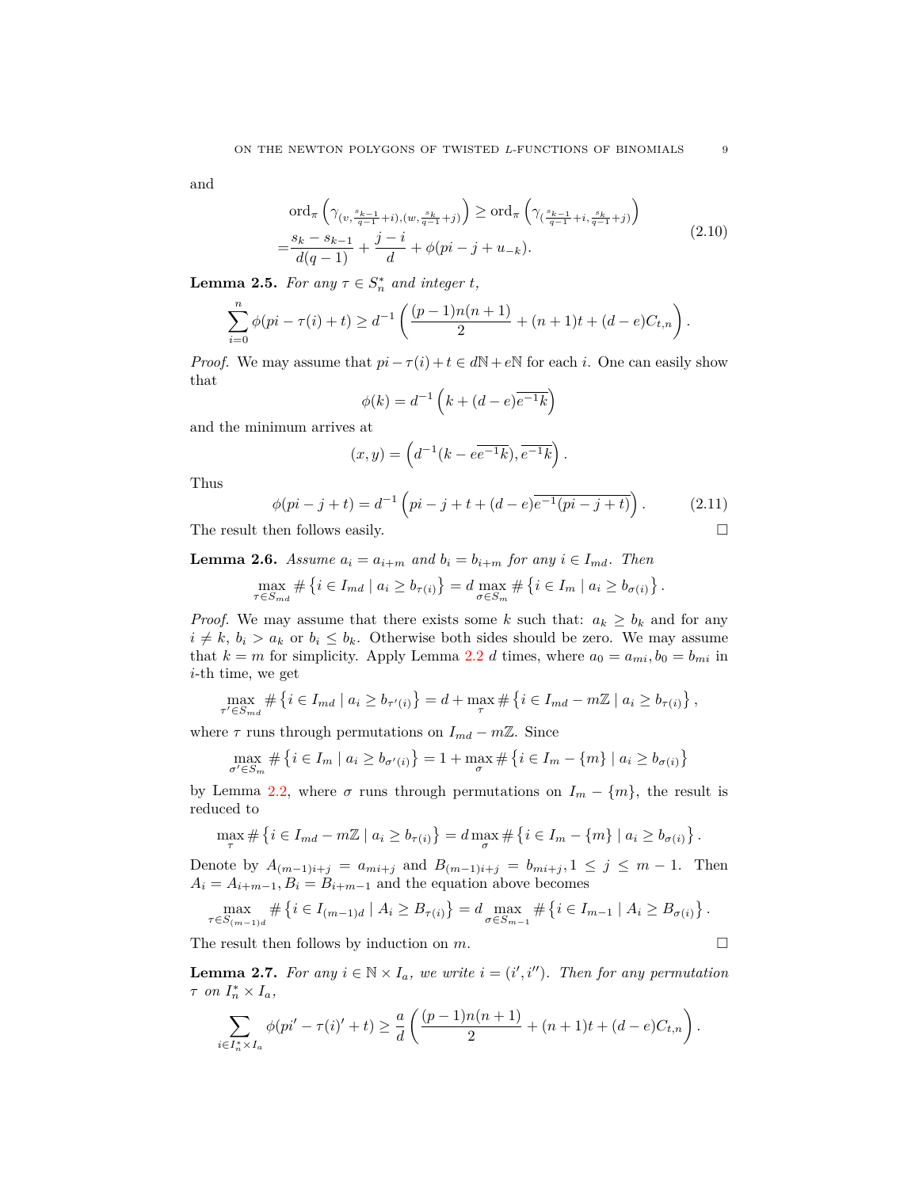<span id="page-8-2"></span>and

$$
\operatorname{ord}_{\pi} \left( \gamma_{(v, \frac{s_{k-1}}{q-1} + i), (w, \frac{s_k}{q-1} + j)} \right) \ge \operatorname{ord}_{\pi} \left( \gamma_{(\frac{s_{k-1}}{q-1} + i, \frac{s_k}{q-1} + j)} \right)
$$
\n
$$
= \frac{s_k - s_{k-1}}{d(q-1)} + \frac{j-i}{d} + \phi(pi - j + u_{-k}).
$$
\n(2.10)

<span id="page-8-4"></span>**Lemma 2.5.** *For any*  $\tau \in S_n^*$  *and integer t,* 

$$
\sum_{i=0}^{n} \phi(pi - \tau(i) + t) \geq d^{-1} \left( \frac{(p-1)n(n+1)}{2} + (n+1)t + (d-e)C_{t,n} \right).
$$

*Proof.* We may assume that  $pi - \tau(i) + t \in dN + eN$  for each *i*. One can easily show that

$$
\phi(k) = d^{-1} \left( k + (d - e)^{\overline{e^{-1}k}} \right)
$$

and the minimum arrives at

$$
(x,y)=\left(d^{-1}(k-e\overline{e^{-1}k}),\overline{e^{-1}k}\right).
$$

Thus

<span id="page-8-0"></span>
$$
\phi(pi - j + t) = d^{-1} \left( pi - j + t + (d - e)e^{-1}(pi - j + t) \right).
$$
 (2.11)

The result then follows easily.  $\square$ 

<span id="page-8-1"></span>**Lemma 2.6.** *Assume*  $a_i = a_{i+m}$  *and*  $b_i = b_{i+m}$  *for any*  $i \in I_{md}$ *. Then* 

$$
\max_{\tau \in S_{md}} \# \left\{ i \in I_{md} \mid a_i \ge b_{\tau(i)} \right\} = d \max_{\sigma \in S_m} \# \left\{ i \in I_m \mid a_i \ge b_{\sigma(i)} \right\}.
$$

*Proof.* We may assume that there exists some *k* such that:  $a_k \geq b_k$  and for any  $i \neq k$ ,  $b_i > a_k$  or  $b_i \leq b_k$ . Otherwise both sides should be zero. We may assume that  $k = m$  for simplicity. Apply Lemma [2.2](#page-5-0) *d* times, where  $a_0 = a_{mi}, b_0 = b_{mi}$  in *i*-th time, we get

$$
\max_{\tau' \in S_{md}} \# \{ i \in I_{md} \mid a_i \ge b_{\tau'(i)} \} = d + \max_{\tau} \# \{ i \in I_{md} - m\mathbb{Z} \mid a_i \ge b_{\tau(i)} \},
$$

where  $\tau$  runs through permutations on  $I_{md} - m\mathbb{Z}$ . Since

$$
\max_{\sigma' \in S_m} \# \{ i \in I_m \mid a_i \ge b_{\sigma'(i)} \} = 1 + \max_{\sigma} \# \{ i \in I_m - \{ m \} \mid a_i \ge b_{\sigma(i)} \}
$$

by Lemma [2.2](#page-5-0), where  $\sigma$  runs through permutations on  $I_m - \{m\}$ , the result is reduced to

$$
\max_{\tau} \# \left\{ i \in I_{md} - m\mathbb{Z} \mid a_i \ge b_{\tau(i)} \right\} = d \max_{\sigma} \# \left\{ i \in I_m - \{ m \} \mid a_i \ge b_{\sigma(i)} \right\}.
$$

Denote by  $A_{(m-1)i+j} = a_{mi+j}$  and  $B_{(m-1)i+j} = b_{mi+j}, 1 \le j \le m-1$ . Then  $A_i = A_{i+m-1}, B_i = B_{i+m-1}$  and the equation above becomes

$$
\max_{\tau \in S_{(m-1)d}} \# \left\{ i \in I_{(m-1)d} \mid A_i \geq B_{\tau(i)} \right\} = d \max_{\sigma \in S_{m-1}} \# \left\{ i \in I_{m-1} \mid A_i \geq B_{\sigma(i)} \right\}.
$$

The result then follows by induction on  $m$ .

<span id="page-8-3"></span>**Lemma 2.7.** For any  $i \in \mathbb{N} \times I_a$ , we write  $i = (i', i'')$ . Then for any permutation  $\tau$  *on*  $I_n^* \times I_a$ ,

$$
\sum_{i \in I_n^* \times I_a} \phi(pi' - \tau(i)' + t) \ge \frac{a}{d} \left( \frac{(p-1)n(n+1)}{2} + (n+1)t + (d-e)C_{t,n} \right).
$$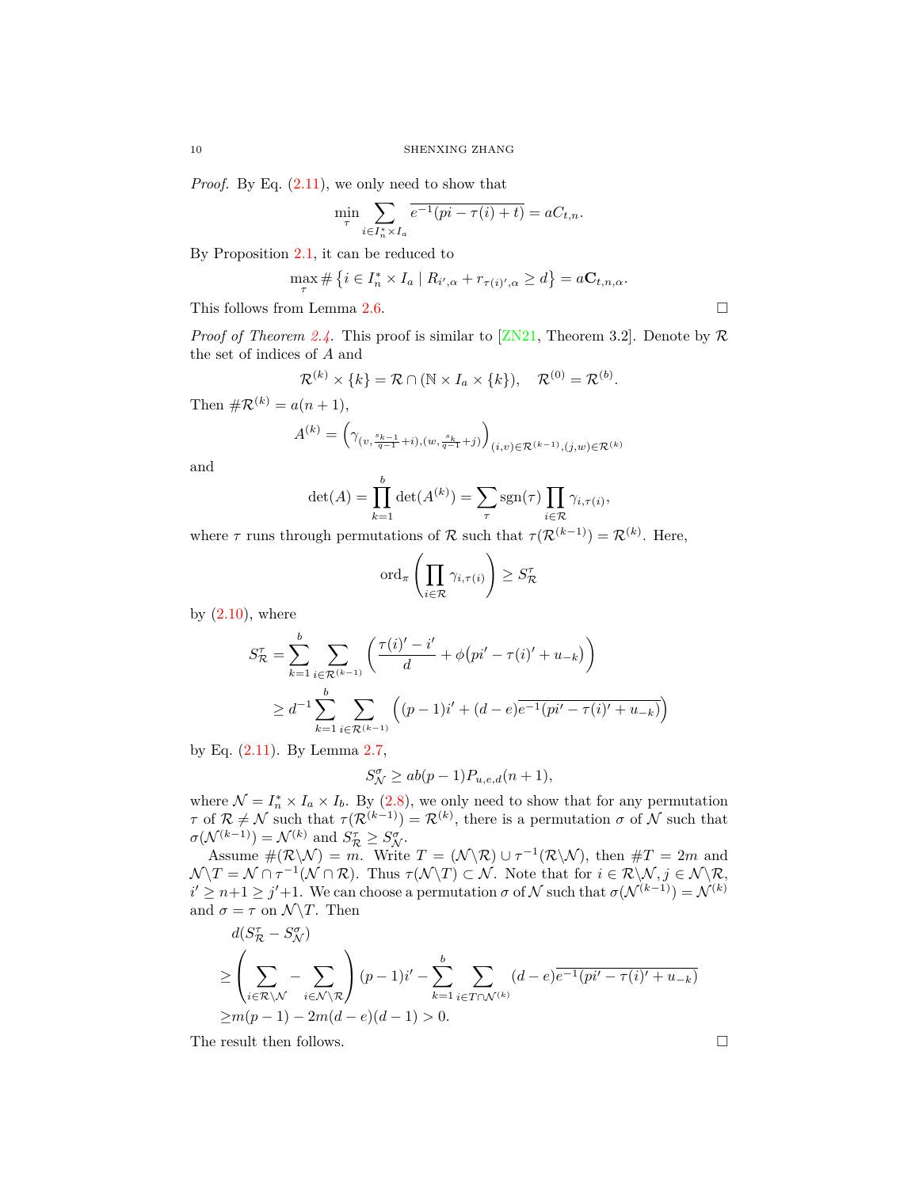*Proof.* By Eq.  $(2.11)$  $(2.11)$  $(2.11)$ , we only need to show that

$$
\min_{\tau} \sum_{i \in I_n^* \times I_a} \overline{e^{-1}(pi - \tau(i) + t)} = aC_{t,n}.
$$

By Proposition [2.1,](#page-4-2) it can be reduced to

$$
\max_{\tau} \# \{ i \in I_n^* \times I_a \mid R_{i',\alpha} + r_{\tau(i)',\alpha} \ge d \} = aC_{t,n,\alpha}.
$$

This follows from Lemma [2.6.](#page-8-1)

*Proof of Theorem [2.4.](#page-7-3)* This proof is similar to [\[ZN21,](#page-14-15) Theorem 3.2]. Denote by  $\mathcal{R}$ the set of indices of *A* and

$$
\mathcal{R}^{(k)} \times \{k\} = \mathcal{R} \cap (\mathbb{N} \times I_a \times \{k\}), \quad \mathcal{R}^{(0)} = \mathcal{R}^{(b)}.
$$

Then  $\#\mathcal{R}^{(k)} = a(n+1),$ 

$$
A^{(k)} = \left(\gamma_{(v, \frac{s_{k-1}}{q-1} + i), (w, \frac{s_k}{q-1} + j)}\right)_{(i,v) \in \mathcal{R}^{(k-1)}, (j,w) \in \mathcal{R}^{(k)}}
$$

and

$$
\det(A) = \prod_{k=1}^{b} \det(A^{(k)}) = \sum_{\tau} \text{sgn}(\tau) \prod_{i \in \mathcal{R}} \gamma_{i,\tau(i)},
$$

where  $\tau$  runs through permutations of  $\mathcal{R}$  such that  $\tau(\mathcal{R}^{(k-1)}) = \mathcal{R}^{(k)}$ . Here,

$$
\mathrm{ord}_{\pi}\left(\prod_{i\in\mathcal{R}}\gamma_{i,\tau(i)}\right)\geq S_{\mathcal{R}}^{\tau}
$$

by  $(2.10)$  $(2.10)$ , where

$$
S_{\mathcal{R}}^{\tau} = \sum_{k=1}^{b} \sum_{i \in \mathcal{R}^{(k-1)}} \left( \frac{\tau(i)' - i'}{d} + \phi(pi' - \tau(i)' + u_{-k}) \right)
$$
  
 
$$
\geq d^{-1} \sum_{k=1}^{b} \sum_{i \in \mathcal{R}^{(k-1)}} \left( (p-1)i' + (d-e)e^{-1}(pi' - \tau(i)' + u_{-k}) \right)
$$

by Eq. ([2.11](#page-8-0)). By Lemma [2.7](#page-8-3),

$$
S_{\mathcal{N}}^{\sigma}\geq ab(p-1)P_{u,e,d}(n+1),
$$

where  $\mathcal{N} = I_n^* \times I_a \times I_b$ . By ([2.8](#page-7-4)), we only need to show that for any permutation *τ* of  $\mathcal{R} \neq \mathcal{N}$  such that  $\tau(\mathcal{R}^{(k-1)}) = \mathcal{R}^{(k)}$ , there is a permutation  $\sigma$  of  $\mathcal{N}$  such that  $\sigma(\mathcal{N}^{(k-1)}) = \mathcal{N}^{(k)}$  and  $S_{\mathcal{R}}^{\tau} \geq S_{\mathcal{N}}^{\sigma}$ .<br>Assume  $\#(\mathcal{R}\backslash\mathcal{N}) = m$ . Write  $T = (\mathcal{N}\backslash\mathcal{R}) \cup \tau^{-1}(\mathcal{R}\backslash\mathcal{N})$ , then  $\#T = 2m$  and

 $\mathcal{N} \setminus T = \mathcal{N} \cap \tau^{-1}(\mathcal{N} \cap \mathcal{R})$ . Thus  $\tau(\mathcal{N} \setminus T) \subset \mathcal{N}$ . Note that for  $i \in \mathcal{R} \setminus \mathcal{N}, j \in \mathcal{N} \setminus \mathcal{R}$ ,  $i' \geq n+1 \geq j'+1$ . We can choose a permutation *σ* of *N* such that  $\sigma(\mathcal{N}^{(k-1)}) = \mathcal{N}^{(k)}$ and  $\sigma = \tau$  on  $\mathcal{N}\backslash T$ . Then

$$
d(S_{\mathcal{R}}^{\tau} - S_{\mathcal{N}}^{\sigma})
$$
  
\n
$$
\geq \left(\sum_{i \in \mathcal{R} \setminus \mathcal{N}} - \sum_{i \in \mathcal{N} \setminus \mathcal{R}} \right) (p-1)i' - \sum_{k=1}^{b} \sum_{i \in T \cap \mathcal{N}^{(k)}} (d-e)^{\overline{e^{-1}(pi'-\tau(i)'+u_{-k})}}
$$
  
\n
$$
\geq m(p-1) - 2m(d-e)(d-1) > 0.
$$

The result then follows.  $\Box$ 

$$
10\,
$$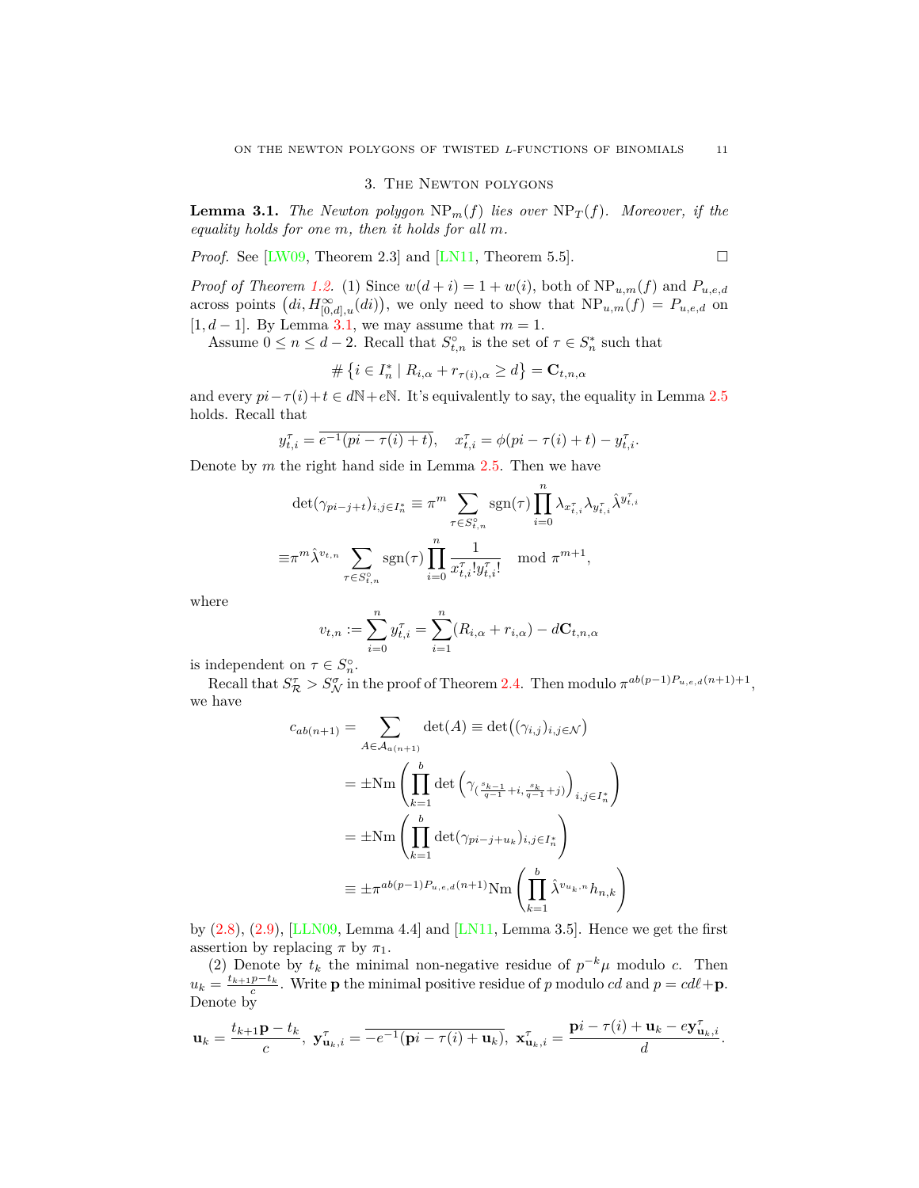## 3. The Newton polygons

<span id="page-10-1"></span><span id="page-10-0"></span>**Lemma 3.1.** *The Newton polygon*  $NP_m(f)$  *lies over*  $NP_T(f)$ *. Moreover, if the equality holds for one m, then it holds for all m.*

*Proof.* See [\[LW09,](#page-14-7) Theorem 2.3] and [[LN11](#page-14-16), Theorem 5.5].

*Proof of Theorem [1.2.](#page-3-6)* (1) Since  $w(d + i) = 1 + w(i)$ , both of  $NP_{u,m}(f)$  and  $P_{u,e,d}$ across points  $(di, H^{\infty}_{[0,d],u}(di))$ , we only need to show that  $NP_{u,m}(f) = P_{u,e,d}$  on [1*, d −* 1]. By Lemma [3.1](#page-10-1), we may assume that *m* = 1.

Assume  $0 \le n \le d-2$ . Recall that  $S_{t,n}^{\circ}$  is the set of  $\tau \in S_n^*$  such that

$$
\#\left\{i\in I_n^*\mid R_{i,\alpha}+r_{\tau(i),\alpha}\geq d\right\}=\mathbf{C}_{t,n,\alpha}
$$

and every  $pi - \tau(i) + t \in d\mathbb{N} + e\mathbb{N}$ . It's equivalently to say, the equality in Lemma [2.5](#page-8-4) holds. Recall that

$$
y_{t,i}^{\tau} = \overline{e^{-1}(pi - \tau(i) + t)}, \quad x_{t,i}^{\tau} = \phi(p_i - \tau(i) + t) - y_{t,i}^{\tau}.
$$

Denote by *m* the right hand side in Lemma [2.5.](#page-8-4) Then we have

$$
\det(\gamma_{pi-j+t})_{i,j\in I_n^*} \equiv \pi^m \sum_{\tau \in S_{t,n}^o} \operatorname{sgn}(\tau) \prod_{i=0}^n \lambda_{x_{t,i}^{\tau}} \lambda_{y_{t,i}^{\tau}} \hat{\lambda}^{y_{t,i}^{\tau}}
$$

$$
\equiv \pi^m \hat{\lambda}^{v_{t,n}} \sum_{\tau \in S_{t,n}^o} \operatorname{sgn}(\tau) \prod_{i=0}^n \frac{1}{x_{t,i}^{\tau}! y_{t,i}^{\tau}!} \mod \pi^{m+1},
$$

where

$$
v_{t,n} := \sum_{i=0}^{n} y_{t,i}^{\tau} = \sum_{i=1}^{n} (R_{i,\alpha} + r_{i,\alpha}) - d\mathbf{C}_{t,n,\alpha}
$$

is independent on  $\tau \in S_n^{\circ}$ .

Recall that  $S^{\tau}_{\mathcal{R}} > S^{\sigma}_{\mathcal{N}}$  in the proof of Theorem [2.4.](#page-7-3) Then modulo  $\pi^{ab(p-1)P_{u,e,d}(n+1)+1}$ , we have

$$
c_{ab(n+1)} = \sum_{A \in \mathcal{A}_{a(n+1)}} \det(A) \equiv \det((\gamma_{i,j})_{i,j \in \mathcal{N}})
$$
  

$$
= \pm \text{Nm} \left( \prod_{k=1}^{b} \det \left( \gamma_{(\frac{s_{k-1}}{q-1} + i, \frac{s_k}{q-1} + j)} \right)_{i,j \in I_n^*} \right)
$$
  

$$
= \pm \text{Nm} \left( \prod_{k=1}^{b} \det(\gamma_{pi-j+u_k})_{i,j \in I_n^*} \right)
$$
  

$$
\equiv \pm \pi^{ab(p-1)P_{u,e,d}(n+1)} \text{Nm} \left( \prod_{k=1}^{b} \hat{\lambda}^{v_{u_k,n}} h_{n,k} \right)
$$

by  $(2.8)$  $(2.8)$ ,  $(2.9)$  $(2.9)$ , [\[LLN09,](#page-14-11) Lemma 4.4] and [\[LN11](#page-14-16), Lemma 3.5]. Hence we get the first assertion by replacing  $\pi$  by  $\pi_1$ .

(2) Denote by  $t_k$  the minimal non-negative residue of  $p^{-k}\mu$  modulo *c*. Then  $u_k = \frac{t_{k+1}p - t_k}{c}$ . Write **p** the minimal positive residue of *p* modulo *cd* and  $p = cdl + \mathbf{p}$ . Denote by

$$
\mathbf{u}_k = \frac{t_{k+1}\mathbf{p} - t_k}{c}, \ \mathbf{y}_{\mathbf{u}_k,i}^{\tau} = \overline{-e^{-1}(\mathbf{p}i - \tau(i) + \mathbf{u}_k)}, \ \mathbf{x}_{\mathbf{u}_k,i}^{\tau} = \frac{\mathbf{p}i - \tau(i) + \mathbf{u}_k - e\mathbf{y}_{\mathbf{u}_k,i}^{\tau}}{d}.
$$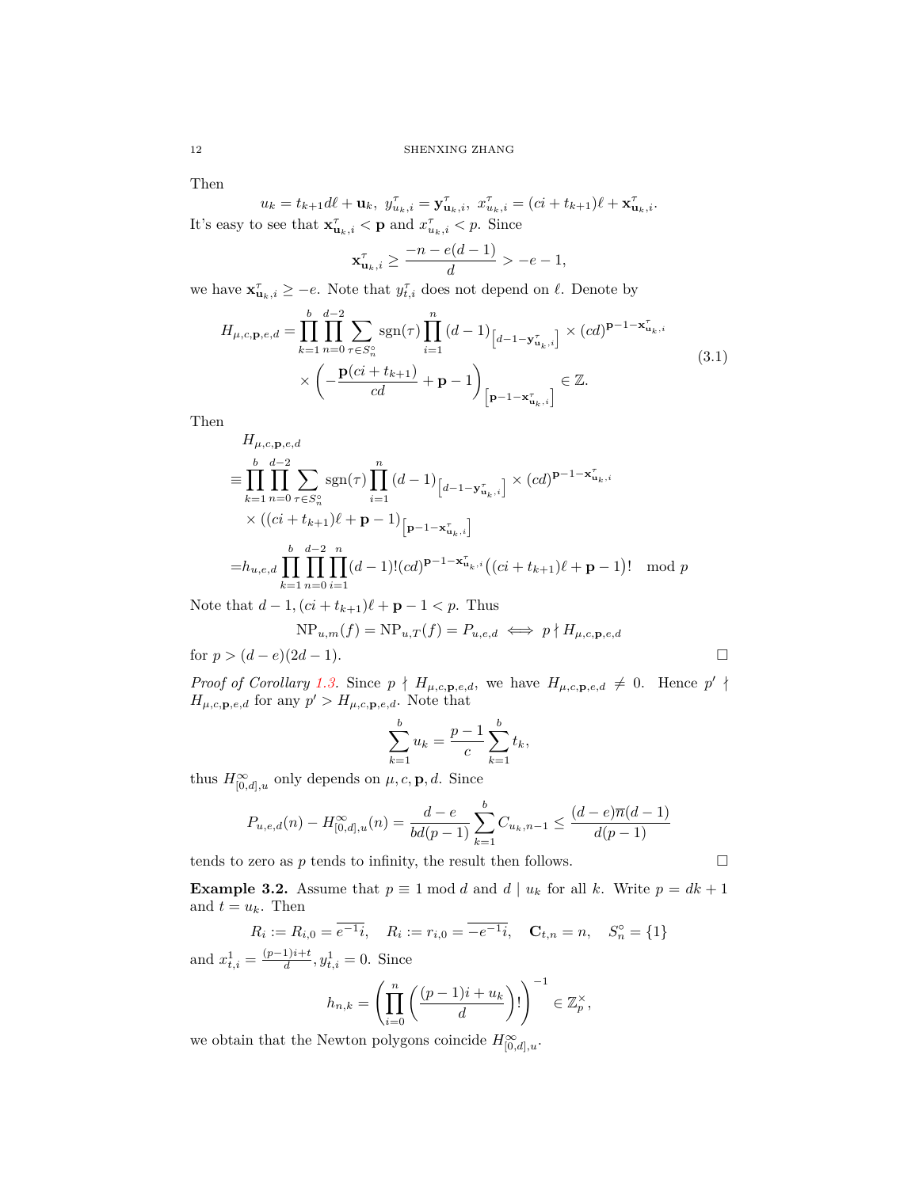Then

 $u_k = t_{k+1}d\ell + \mathbf{u}_k, \ y_{u_k,i}^{\tau} = \mathbf{y}_{\mathbf{u}_k,i}^{\tau}, \ x_{u_k,i}^{\tau} = (ci + t_{k+1})\ell + \mathbf{x}_{\mathbf{u}_k,i}^{\tau}.$ It's easy to see that  $\mathbf{x}_{\mathbf{u}_k,i}^{\tau} < \mathbf{p}$  and  $x_{u_k,i}^{\tau} < p$ . Since

$$
\mathbf{x}_{\mathbf{u}_k,i}^{\tau} \ge \frac{-n - e(d-1)}{d} > -e - 1,
$$

we have  $\mathbf{x}_{\mathbf{u}_k,i}^{\tau} \geq -e$ . Note that  $y_{t,i}^{\tau}$  does not depend on  $\ell$ . Denote by

<span id="page-11-0"></span>
$$
H_{\mu,c,\mathbf{p},e,d} = \prod_{k=1}^{b} \prod_{n=0}^{d-2} \sum_{\tau \in S_n^{\circ}} \text{sgn}(\tau) \prod_{i=1}^{n} (d-1)_{\left[d-1-\mathbf{y}_{\mathbf{u}_k,i}^{\tau}\right]} \times (cd)^{\mathbf{p}-1-\mathbf{x}_{\mathbf{u}_k,i}^{\tau}} \times (\mathbf{z})^{\mathbf{p}-1-\mathbf{x}_{\mathbf{u}_k,i}^{\tau}} \times \left(-\frac{\mathbf{p}(ci+t_{k+1})}{cd} + \mathbf{p}-1\right)_{\left[\mathbf{p}-1-\mathbf{x}_{\mathbf{u}_k,i}^{\tau}\right]} \in \mathbb{Z}.
$$
\n
$$
(3.1)
$$

Then

$$
H_{\mu,c,\mathbf{p},e,d}
$$
\n
$$
\equiv \prod_{k=1}^{b} \prod_{n=0}^{d-2} \sum_{\tau \in S_n^{\circ}} \text{sgn}(\tau) \prod_{i=1}^{n} (d-1)_{\left[d-1-\mathbf{y}_{\mathbf{u}_k,i}^{\tau}\right]} \times (cd)^{\mathbf{p}-1-\mathbf{x}_{\mathbf{u}_k,i}^{\tau}}
$$
\n
$$
\times \left( (ci + t_{k+1})\ell + \mathbf{p} - 1 \right)_{\left[\mathbf{p}-1-\mathbf{x}_{\mathbf{u}_k,i}^{\tau}\right]}
$$
\n
$$
= h_{u,e,d} \prod_{k=1}^{b} \prod_{n=0}^{d-2} \prod_{i=1}^{n} (d-1)! (cd)^{\mathbf{p}-1-\mathbf{x}_{\mathbf{u}_k,i}^{\tau}} \left( (ci + t_{k+1})\ell + \mathbf{p} - 1 \right)! \mod p
$$

Note that  $d - 1$ ,  $(ci + t_{k+1})$  $\ell$  + **p** − 1 < *p*. Thus

$$
NP_{u,m}(f) = NP_{u,T}(f) = P_{u,e,d} \iff p \nmid H_{\mu,c,\mathbf{p},e,d}
$$

for  $p > (d - e)(2d - 1)$ .

*Proof of Corollary* [1.3.](#page-3-4) Since  $p \nmid H_{\mu,c,\mathbf{p},e,d}$ , we have  $H_{\mu,c,\mathbf{p},e,d} \neq 0$ . Hence  $p' \nmid$  $H_{\mu,c,\mathbf{p},e,d}$  for any  $p' > H_{\mu,c,\mathbf{p},e,d}$ . Note that

$$
\sum_{k=1}^{b} u_k = \frac{p-1}{c} \sum_{k=1}^{b} t_k,
$$

thus  $H^{\infty}_{[0,d],u}$  only depends on  $\mu$ , c, **p***, d*. Since

$$
P_{u,e,d}(n) - H_{[0,d],u}^{\infty}(n) = \frac{d-e}{bd(p-1)} \sum_{k=1}^{b} C_{u_k,n-1} \le \frac{(d-e)\overline{n}(d-1)}{d(p-1)}
$$

tends to zero as  $p$  tends to infinity, the result then follows.  $\Box$ 

**Example 3.2.** Assume that  $p \equiv 1 \mod d$  and  $d | u_k$  for all  $k$ . Write  $p = dk + 1$ and  $t = u_k$ . Then

$$
R_i := R_{i,0} = \overline{e^{-1}i}, \quad R_i := r_{i,0} = \overline{-e^{-1}i}, \quad \mathbf{C}_{t,n} = n, \quad S_n^{\circ} = \{1\}
$$

and  $x_{t,i}^1 = \frac{(p-1)i+t}{d}, y_{t,i}^1 = 0$ . Since

$$
h_{n,k} = \left(\prod_{i=0}^n \left(\frac{(p-1)i+u_k}{d}\right)!\right)^{-1} \in \mathbb{Z}_p^\times,
$$

we obtain that the Newton polygons coincide  $H^{\infty}_{[0,d],u}$ .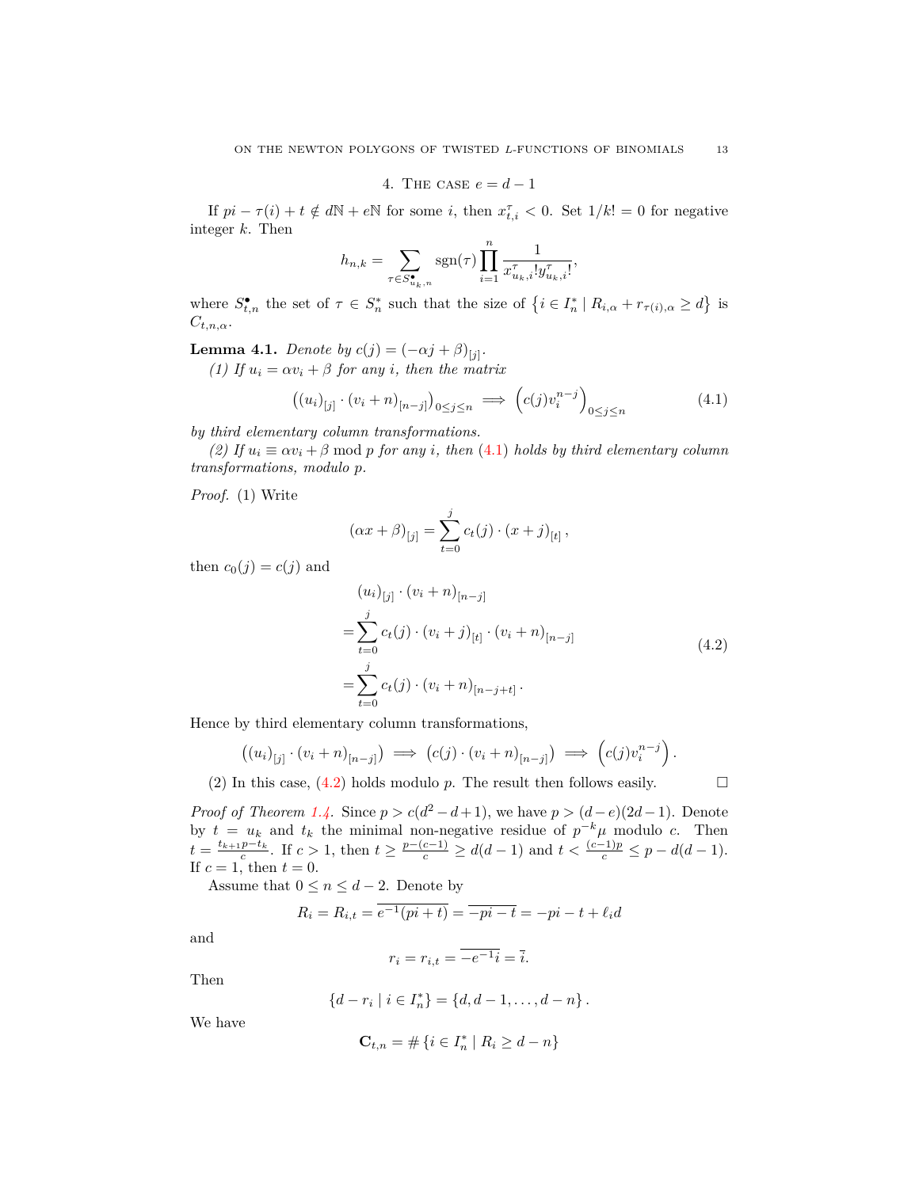4. THE CASE 
$$
e = d - 1
$$

<span id="page-12-0"></span>If  $pi - \tau(i) + t \notin d\mathbb{N} + e\mathbb{N}$  for some *i*, then  $x_{t,i}^{\tau} < 0$ . Set  $1/k! = 0$  for negative integer *k*. Then

$$
h_{n,k} = \sum_{\tau \in S_{u_k,n}^{\bullet}} \operatorname{sgn}(\tau) \prod_{i=1}^n \frac{1}{x_{u_k,i}^{\tau}! y_{u_k,i}^{\tau}!},
$$

where  $S_{t,n}^{\bullet}$  the set of  $\tau \in S_n^*$  such that the size of  $\{i \in I_n^* \mid R_{i,\alpha} + r_{\tau(i),\alpha} \geq d\}$  is *Ct,n,α*.

<span id="page-12-3"></span>**Lemma 4.1.** *Denote by*  $c(j) = (-\alpha j + \beta)_{[j]}$ .

*(1)* If  $u_i = \alpha v_i + \beta$  for any *i*, then the matrix

<span id="page-12-1"></span>
$$
\left( \left( u_i \right)_{[j]} \cdot \left( v_i + n \right)_{[n-j]} \right)_{0 \le j \le n} \implies \left( c(j) v_i^{n-j} \right)_{0 \le j \le n} \tag{4.1}
$$

*by third elementary column transformations.*

*(2)* If  $u_i \equiv \alpha v_i + \beta \mod p$  for any *i*, then ([4.1](#page-12-1)) holds by third elementary column *transformations, modulo p.*

*Proof.* (1) Write

$$
(\alpha x + \beta)_{[j]} = \sum_{t=0}^{j} c_t(j) \cdot (x + j)_{[t]},
$$

<span id="page-12-2"></span>then  $c_0(j) = c(j)$  and

$$
(u_i)_{[j]} \cdot (v_i + n)_{[n-j]}
$$
  
= 
$$
\sum_{t=0}^j c_t(j) \cdot (v_i + j)_{[t]} \cdot (v_i + n)_{[n-j]}
$$
  
= 
$$
\sum_{t=0}^j c_t(j) \cdot (v_i + n)_{[n-j+t]}.
$$
 (4.2)

Hence by third elementary column transformations,

$$
((u_i)_{[j]} \cdot (v_i + n)_{[n-j]}) \implies (c(j) \cdot (v_i + n)_{[n-j]}) \implies (c(j)v_i^{n-j}).
$$

(2) In this case,  $(4.2)$  $(4.2)$  holds modulo *p*. The result then follows easily.

*Proof of Theorem [1.4.](#page-4-3)* Since  $p > c(d^2 - d + 1)$ , we have  $p > (d - e)(2d - 1)$ . Denote by  $t = u_k$  and  $t_k$  the minimal non-negative residue of  $p^{-k}\mu$  modulo *c*. Then  $t = \frac{t_{k+1}p - t_k}{c}$ . If  $c > 1$ , then  $t \ge \frac{p - (c-1)}{c} \ge d(d-1)$  and  $t < \frac{(c-1)p}{c} \le p - d(d-1)$ . If  $c = 1$ , then  $t = 0$ .

Assume that  $0 \leq n \leq d-2$ . Denote by

$$
R_i = R_{i,t} = \overline{e^{-1}(pi + t)} = \overline{-pi - t} = -pi - t + \ell_i d
$$

and

$$
r_i = r_{i,t} = \overline{-e^{-1}i} = \overline{i}.
$$

Then

$$
\{d-r_i \mid i \in I_n^*\} = \{d, d-1, \ldots, d-n\}.
$$

We have

$$
\mathbf{C}_{t,n} = \# \left\{ i \in I_n^* \mid R_i \ge d - n \right\}
$$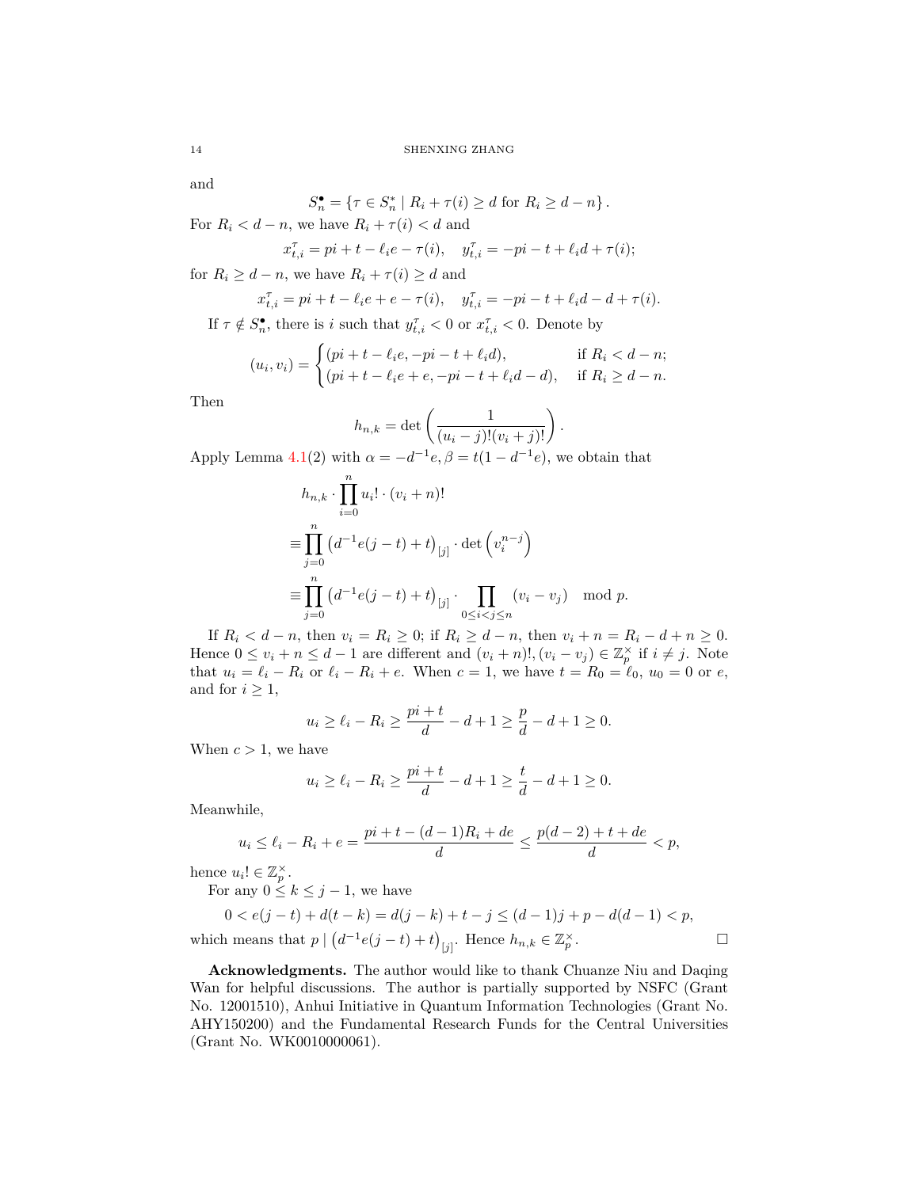and

$$
S_n^{\bullet} = \{ \tau \in S_n^* \mid R_i + \tau(i) \ge d \text{ for } R_i \ge d - n \}.
$$

For  $R_i < d - n$ , we have  $R_i + \tau(i) < d$  and

$$
x_{t,i}^{\tau} = pi + t - \ell_i e - \tau(i), \quad y_{t,i}^{\tau} = -pi - t + \ell_i d + \tau(i);
$$

for  $R_i \geq d - n$ , we have  $R_i + \tau(i) \geq d$  and

Y*n*

$$
x_{t,i}^{\tau} = pi + t - \ell_i e + e - \tau(i), \quad y_{t,i}^{\tau} = -pi - t + \ell_i d - d + \tau(i).
$$

If  $\tau \notin S_n^{\bullet}$ , there is *i* such that  $y_{t,i}^{\tau} < 0$  or  $x_{t,i}^{\tau} < 0$ . Denote by

$$
(u_i, v_i) = \begin{cases} (pi + t - \ell_i e, -pi - t + \ell_i d), & \text{if } R_i < d - n; \\ (pi + t - \ell_i e + e, -pi - t + \ell_i d - d), & \text{if } R_i \ge d - n. \end{cases}
$$

Then

$$
h_{n,k} = \det\left(\frac{1}{(u_i-j)!(v_i+j)!}\right).
$$

Apply Lemma [4.1\(](#page-12-3)2) with  $\alpha = -d^{-1}e, \beta = t(1 - d^{-1}e)$ , we obtain that

$$
h_{n,k} \cdot \prod_{i=0} u_i! \cdot (v_i + n)!
$$
  
\n
$$
\equiv \prod_{j=0}^n (d^{-1}e(j-t) + t)_{[j]} \cdot \det(v_i^{n-j})
$$
  
\n
$$
\equiv \prod_{j=0}^n (d^{-1}e(j-t) + t)_{[j]} \cdot \prod_{0 \le i < j \le n} (v_i - v_j) \mod p.
$$

If  $R_i < d-n$ , then  $v_i = R_i \geq 0$ ; if  $R_i \geq d-n$ , then  $v_i + n = R_i - d + n \geq 0$ . Hence  $0 \le v_i + n \le d - 1$  are different and  $(v_i + n)!$ ,  $(v_i - v_j) \in \mathbb{Z}_p^{\times}$  if  $i \ne j$ . Note that  $u_i = \ell_i - R_i$  or  $\ell_i - R_i + e$ . When  $c = 1$ , we have  $t = R_0 = \ell_0$ ,  $u_0 = 0$  or  $e$ , and for  $i \geq 1$ ,

$$
u_i \ge \ell_i - R_i \ge \frac{pi + t}{d} - d + 1 \ge \frac{p}{d} - d + 1 \ge 0.
$$

When  $c > 1$ , we have

$$
u_i \ge \ell_i - R_i \ge \frac{pi + t}{d} - d + 1 \ge \frac{t}{d} - d + 1 \ge 0.
$$

Meanwhile,

$$
u_i \le \ell_i - R_i + e = \frac{pi + t - (d - 1)R_i + de}{d} \le \frac{p(d - 2) + t + de}{d} < p,
$$

hence  $u_i! \in \mathbb{Z}_p^{\times}$ .

For any  $0 \leq k \leq j-1$ , we have

$$
0 < e(j-t) + d(t-k) = d(j-k) + t - j \le (d-1)j + p - d(d-1) < p,
$$
\nwhich means that  $p \mid (d^{-1}e(j-t) + t)_{[j]}$ . Hence  $h_{n,k} \in \mathbb{Z}_p^{\times}$ .

\n
$$
\Box
$$

**Acknowledgments.** The author would like to thank Chuanze Niu and Daqing Wan for helpful discussions. The author is partially supported by NSFC (Grant No. 12001510), Anhui Initiative in Quantum Information Technologies (Grant No. AHY150200) and the Fundamental Research Funds for the Central Universities (Grant No. WK0010000061).